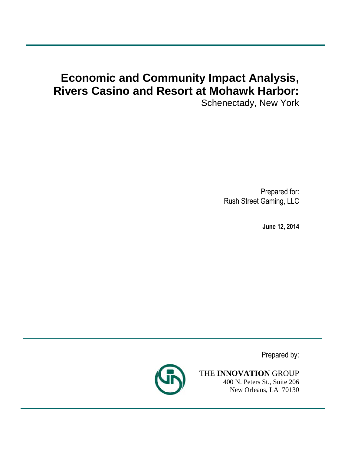# **Economic and Community Impact Analysis, Rivers Casino and Resort at Mohawk Harbor:**

Schenectady, New York

Prepared for: Rush Street Gaming, LLC

**June 12, 2014**

Prepared by:



THE **INNOVATION** GROUP 400 N. Peters St., Suite 206 New Orleans, LA 70130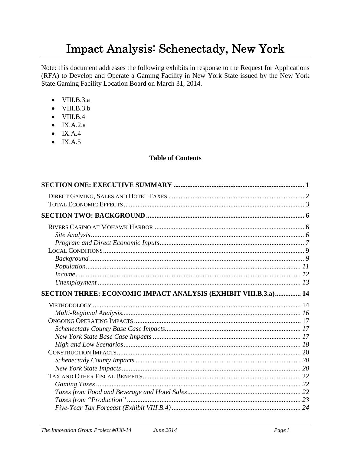# Impact Analysis: Schenectady, New York

Note: this document addresses the following exhibits in response to the Request for Applications (RFA) to Develop and Operate a Gaming Facility in New York State issued by the New York State Gaming Facility Location Board on March 31, 2014.

- $\bullet$  VIII.B.3.a
- $\bullet$  VIII.B.3.b
- $\bullet$  VIII.B.4
- $\bullet$  IX.A.2.a
- $\bullet$  IX.A.4
- $\bullet$  IX.A.5

#### **Table of Contents**

| SECTION THREE: ECONOMIC IMPACT ANALYSIS (EXHIBIT VIII.B.3.a) 14 |  |
|-----------------------------------------------------------------|--|
|                                                                 |  |
|                                                                 |  |
|                                                                 |  |
|                                                                 |  |
|                                                                 |  |
|                                                                 |  |
|                                                                 |  |
|                                                                 |  |
|                                                                 |  |
|                                                                 |  |
|                                                                 |  |
|                                                                 |  |
|                                                                 |  |
|                                                                 |  |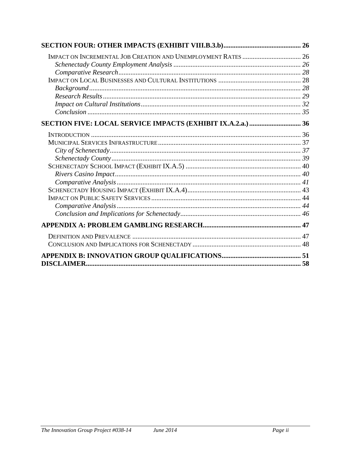| <b>DISCLAIMER.</b> |  |
|--------------------|--|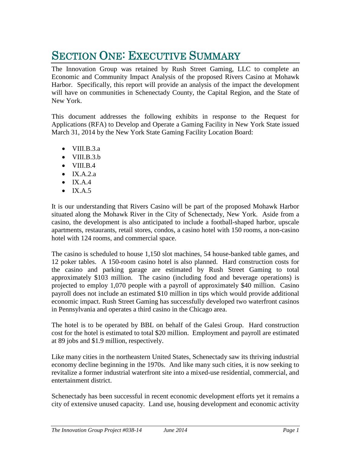# SECTION ONE: EXECUTIVE SUMMARY

The Innovation Group was retained by Rush Street Gaming, LLC to complete an Economic and Community Impact Analysis of the proposed Rivers Casino at Mohawk Harbor. Specifically, this report will provide an analysis of the impact the development will have on communities in Schenectady County, the Capital Region, and the State of New York.

This document addresses the following exhibits in response to the Request for Applications (RFA) to Develop and Operate a Gaming Facility in New York State issued March 31, 2014 by the New York State Gaming Facility Location Board:

- $\bullet$  VIII.B.3.a
- $\bullet$  VIII.B.3.b
- $\bullet$  VIII.B.4
- $\bullet$  IX.A.2.a
- $\bullet$  IX.A.4
- $\bullet$  IX.A.5

It is our understanding that Rivers Casino will be part of the proposed Mohawk Harbor situated along the Mohawk River in the City of Schenectady, New York. Aside from a casino, the development is also anticipated to include a football-shaped harbor, upscale apartments, restaurants, retail stores, condos, a casino hotel with 150 rooms, a non-casino hotel with 124 rooms, and commercial space.

The casino is scheduled to house 1,150 slot machines, 54 house-banked table games, and 12 poker tables. A 150-room casino hotel is also planned. Hard construction costs for the casino and parking garage are estimated by Rush Street Gaming to total approximately \$103 million. The casino (including food and beverage operations) is projected to employ 1,070 people with a payroll of approximately \$40 million. Casino payroll does not include an estimated \$10 million in tips which would provide additional economic impact. Rush Street Gaming has successfully developed two waterfront casinos in Pennsylvania and operates a third casino in the Chicago area.

The hotel is to be operated by BBL on behalf of the Galesi Group. Hard construction cost for the hotel is estimated to total \$20 million. Employment and payroll are estimated at 89 jobs and \$1.9 million, respectively.

Like many cities in the northeastern United States, Schenectady saw its thriving industrial economy decline beginning in the 1970s. And like many such cities, it is now seeking to revitalize a former industrial waterfront site into a mixed-use residential, commercial, and entertainment district.

Schenectady has been successful in recent economic development efforts yet it remains a city of extensive unused capacity. Land use, housing development and economic activity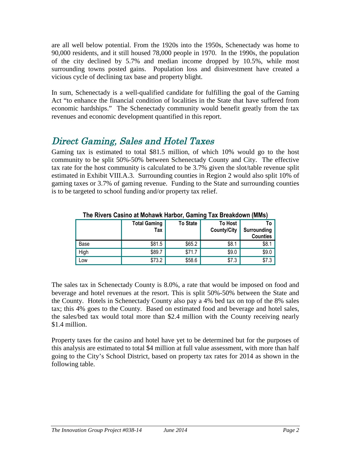are all well below potential. From the 1920s into the 1950s, Schenectady was home to 90,000 residents, and it still housed 78,000 people in 1970. In the 1990s, the population of the city declined by 5.7% and median income dropped by 10.5%, while most surrounding towns posted gains. Population loss and disinvestment have created a vicious cycle of declining tax base and property blight.

In sum, Schenectady is a well-qualified candidate for fulfilling the goal of the Gaming Act "to enhance the financial condition of localities in the State that have suffered from economic hardships." The Schenectady community would benefit greatly from the tax revenues and economic development quantified in this report.

# Direct Gaming, Sales and Hotel Taxes

Gaming tax is estimated to total \$81.5 million, of which 10% would go to the host community to be split 50%-50% between Schenectady County and City. The effective tax rate for the host community is calculated to be 3.7% given the slot/table revenue split estimated in Exhibit VIII.A.3. Surrounding counties in Region 2 would also split 10% of gaming taxes or 3.7% of gaming revenue. Funding to the State and surrounding counties is to be targeted to school funding and/or property tax relief.

|      | <b>Total Gaming</b><br>Tax | <b>To State</b> | <b>To Host</b><br><b>County/City</b> | To<br>Surrounding<br><b>Counties</b> |
|------|----------------------------|-----------------|--------------------------------------|--------------------------------------|
| Base | \$81.5                     | \$65.2          | \$8.1                                | \$8.1                                |
| High | \$89.7                     | \$71.7          | \$9.0                                | \$9.0                                |
| Low  | \$73.2                     | \$58.6          | \$7.3                                | \$7.3                                |

### **The Rivers Casino at Mohawk Harbor, Gaming Tax Breakdown (MMs)**

The sales tax in Schenectady County is 8.0%, a rate that would be imposed on food and beverage and hotel revenues at the resort. This is split 50%-50% between the State and the County. Hotels in Schenectady County also pay a 4% bed tax on top of the 8% sales tax; this 4% goes to the County. Based on estimated food and beverage and hotel sales, the sales/bed tax would total more than \$2.4 million with the County receiving nearly \$1.4 million.

Property taxes for the casino and hotel have yet to be determined but for the purposes of this analysis are estimated to total \$4 million at full value assessment, with more than half going to the City's School District, based on property tax rates for 2014 as shown in the following table.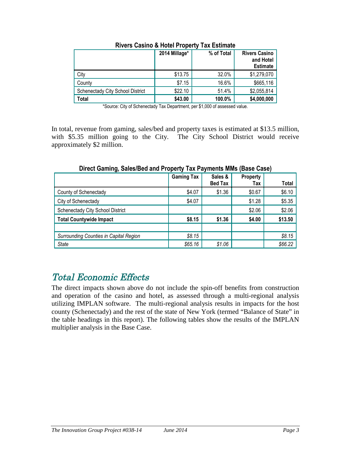|                                  | 2014 Millage* | % of Total | <b>Rivers Casino</b><br>and Hotel<br><b>Estimate</b> |
|----------------------------------|---------------|------------|------------------------------------------------------|
| City                             | \$13.75       | 32.0%      | \$1,279,070                                          |
| County                           | \$7.15        | 16.6%      | \$665,116                                            |
| Schenectady City School District | \$22.10       | 51.4%      | \$2,055,814                                          |
| Total                            | \$43.00       | 100.0%     | \$4,000,000                                          |

#### **Rivers Casino & Hotel Property Tax Estimate**

\*Source: City of Schenectady Tax Department, per \$1,000 of assessed value.

In total, revenue from gaming, sales/bed and property taxes is estimated at \$13.5 million, with \$5.35 million going to the City. The City School District would receive approximately \$2 million.

|                                        | <b>Gaming Tax</b> | Sales &<br><b>Bed Tax</b> | <b>Property</b><br>Tax | Total   |
|----------------------------------------|-------------------|---------------------------|------------------------|---------|
| County of Schenectady                  | \$4.07            | \$1.36                    | \$0.67                 | \$6.10  |
| City of Schenectady                    | \$4.07            |                           | \$1.28                 | \$5.35  |
| Schenectady City School District       |                   |                           | \$2.06                 | \$2.06  |
| <b>Total Countywide Impact</b>         | \$8.15            | \$1.36                    | \$4.00                 | \$13.50 |
|                                        |                   |                           |                        |         |
| Surrounding Counties in Capital Region | \$8.15            |                           |                        | \$8.15  |
| <b>State</b>                           | \$65.16           | \$1.06                    |                        | \$66.22 |

### **Direct Gaming, Sales/Bed and Property Tax Payments MMs (Base Case)**

# Total Economic Effects

The direct impacts shown above do not include the spin-off benefits from construction and operation of the casino and hotel, as assessed through a multi-regional analysis utilizing IMPLAN software. The multi-regional analysis results in impacts for the host county (Schenectady) and the rest of the state of New York (termed "Balance of State" in the table headings in this report). The following tables show the results of the IMPLAN multiplier analysis in the Base Case.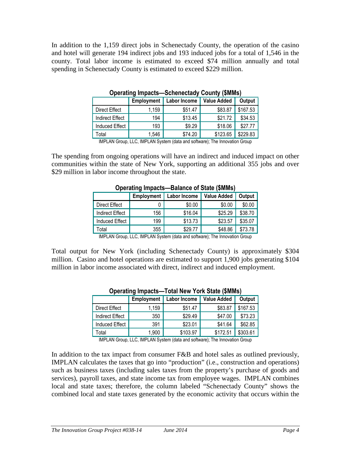In addition to the 1,159 direct jobs in Schenectady County, the operation of the casino and hotel will generate 194 indirect jobs and 193 induced jobs for a total of 1,546 in the county. Total labor income is estimated to exceed \$74 million annually and total spending in Schenectady County is estimated to exceed \$229 million.

|                        | Employment | <b>Labor Income</b> | <b>Value Added</b> | Output   |
|------------------------|------------|---------------------|--------------------|----------|
| <b>Direct Effect</b>   | 1,159      | \$51.47             | \$83.87            | \$167.53 |
| <b>Indirect Effect</b> | 194        | \$13.45             | \$21.72            | \$34.53  |
| <b>Induced Effect</b>  | 193        | \$9.29              | \$18.06            | \$27.77  |
| Total                  | 1,546      | \$74.20             | \$123.65           | \$229.83 |
|                        |            |                     |                    |          |

**Operating Impacts—Schenectady County (\$MMs)**

IMPLAN Group, LLC, IMPLAN System (data and software); The Innovation Group

The spending from ongoing operations will have an indirect and induced impact on other communities within the state of New York, supporting an additional 355 jobs and over \$29 million in labor income throughout the state.

| Operating impacts—Balance of State (SMINIS) |            |              |                    |         |  |
|---------------------------------------------|------------|--------------|--------------------|---------|--|
|                                             | Employment | Labor Income | <b>Value Added</b> | Output  |  |
| Direct Effect                               |            | \$0.00       | \$0.00             | \$0.00  |  |
| <b>Indirect Effect</b>                      | 156        | \$16.04      | \$25.29            | \$38.70 |  |
| <b>Induced Effect</b>                       | 199        | \$13.73      | \$23.57            | \$35.07 |  |
| Total                                       | 355        | \$29.77      | \$48.86            | \$73.78 |  |

## **Operating Impacts—Balance of State (\$MMs)**

IMPLAN Group, LLC, IMPLAN System (data and software); The Innovation Group

Total output for New York (including Schenectady County) is approximately \$304 million. Casino and hotel operations are estimated to support 1,900 jobs generating \$104 million in labor income associated with direct, indirect and induced employment.

|                        | <b>Employment</b> | Labor Income | <b>Value Added</b> | Output   |
|------------------------|-------------------|--------------|--------------------|----------|
| Direct Effect          | 1,159             | \$51.47      | \$83.87            | \$167.53 |
| <b>Indirect Effect</b> | 350               | \$29.49      | \$47.00            | \$73.23  |
| <b>Induced Effect</b>  | 391               | \$23.01      | \$41.64            | \$62.85  |
| Total                  | 1,900             | \$103.97     | \$172.51           | \$303.61 |
|                        |                   |              |                    |          |

### **Operating Impacts—Total New York State (\$MMs)**

IMPLAN Group, LLC, IMPLAN System (data and software); The Innovation Group

In addition to the tax impact from consumer F&B and hotel sales as outlined previously, IMPLAN calculates the taxes that go into "production" (i.e., construction and operations) such as business taxes (including sales taxes from the property's purchase of goods and services), payroll taxes, and state income tax from employee wages. IMPLAN combines local and state taxes; therefore, the column labeled "Schenectady County" shows the combined local and state taxes generated by the economic activity that occurs within the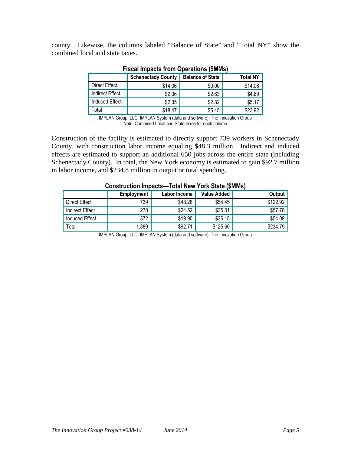county. Likewise, the columns labeled "Balance of State" and "Total NY" show the combined local and state taxes.

|                        | <b>Schenectady County</b> | <b>Balance of State</b> | <b>Total NY</b> |
|------------------------|---------------------------|-------------------------|-----------------|
| Direct Effect          | \$14.06                   | \$0.00                  | \$14.06         |
| <b>Indirect Effect</b> | \$2.06                    | \$2.63                  | \$4.69          |
| <b>Induced Effect</b>  | \$2.35                    | \$2.82                  | \$5.17          |
| otal                   | \$18.47                   | \$5.45                  | \$23.92         |

#### **Fiscal Impacts from Operations (\$MMs)**

IMPLAN Group, LLC, IMPLAN System (data and software); The Innovation Group Note: Combined Local and State taxes for each column

Construction of the facility is estimated to directly support 739 workers in Schenectady County, with construction labor income equaling \$48.3 million. Indirect and induced effects are estimated to support an additional 650 jobs across the entire state (including Schenectady County). In total, the New York economy is estimated to gain \$92.7 million in labor income, and \$234.8 million in output or total spending.

|                 | Employment | Construction impacts—Total New York State (SMINIS)<br>Labor Income | <b>Value Added</b> | Output   |
|-----------------|------------|--------------------------------------------------------------------|--------------------|----------|
| Direct Effect   | 739        | \$48.28                                                            | \$54.45            | \$122.92 |
| Indirect Effect | 278        | \$24.52                                                            | \$35.01            | \$57.78  |
| Induced Effect  | 372        | \$19.90                                                            | \$36.15            | \$54.09  |
| Total           | 1,389      | \$92.71                                                            | \$125.60           | \$234.79 |

# **Construction Impacts—Total New York State (\$MMs)**

IMPLAN Group, LLC, IMPLAN System (data and software); The Innovation Group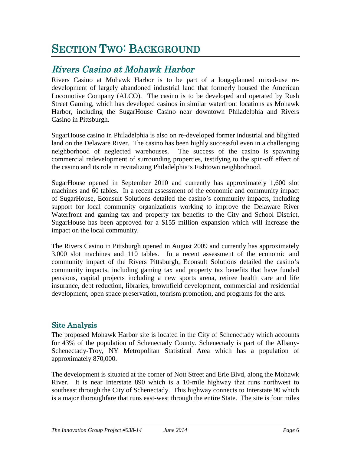# SECTION TWO: BACKGROUND

# Rivers Casino at Mohawk Harbor

Rivers Casino at Mohawk Harbor is to be part of a long-planned mixed-use redevelopment of largely abandoned industrial land that formerly housed the American Locomotive Company (ALCO). The casino is to be developed and operated by Rush Street Gaming, which has developed casinos in similar waterfront locations as Mohawk Harbor, including the SugarHouse Casino near downtown Philadelphia and Rivers Casino in Pittsburgh.

SugarHouse casino in Philadelphia is also on re-developed former industrial and blighted land on the Delaware River. The casino has been highly successful even in a challenging neighborhood of neglected warehouses. The success of the casino is spawning commercial redevelopment of surrounding properties, testifying to the spin-off effect of the casino and its role in revitalizing Philadelphia's Fishtown neighborhood.

SugarHouse opened in September 2010 and currently has approximately 1,600 slot machines and 60 tables. In a recent assessment of the economic and community impact of SugarHouse, Econsult Solutions detailed the casino's community impacts, including support for local community organizations working to improve the Delaware River Waterfront and gaming tax and property tax benefits to the City and School District. SugarHouse has been approved for a \$155 million expansion which will increase the impact on the local community.

The Rivers Casino in Pittsburgh opened in August 2009 and currently has approximately 3,000 slot machines and 110 tables. In a recent assessment of the economic and community impact of the Rivers Pittsburgh, Econsult Solutions detailed the casino's community impacts, including gaming tax and property tax benefits that have funded pensions, capital projects including a new sports arena, retiree health care and life insurance, debt reduction, libraries, brownfield development, commercial and residential development, open space preservation, tourism promotion, and programs for the arts.

## Site Analysis

The proposed Mohawk Harbor site is located in the City of Schenectady which accounts for 43% of the population of Schenectady County. Schenectady is part of the Albany-Schenectady-Troy, NY Metropolitan Statistical Area which has a population of approximately 870,000.

The development is situated at the corner of Nott Street and Erie Blvd, along the Mohawk River. It is near Interstate 890 which is a 10-mile highway that runs northwest to southeast through the City of Schenectady. This highway connects to Interstate 90 which is a major thoroughfare that runs east-west through the entire State. The site is four miles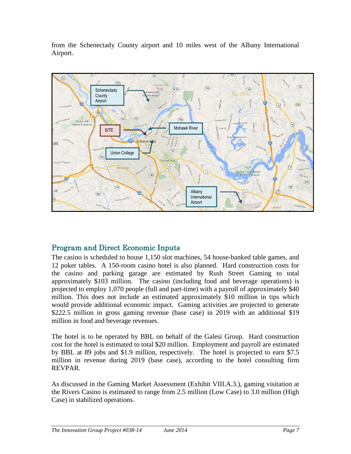from the Schenectady County airport and 10 miles west of the Albany International Airport.



# Program and Direct Economic Inputs

The casino is scheduled to house 1,150 slot machines, 54 house-banked table games, and 12 poker tables. A 150-room casino hotel is also planned. Hard construction costs for the casino and parking garage are estimated by Rush Street Gaming to total approximately \$103 million. The casino (including food and beverage operations) is projected to employ 1,070 people (full and part-time) with a payroll of approximately \$40 million. This does not include an estimated approximately \$10 million in tips which would provide additional economic impact. Gaming activities are projected to generate \$222.5 million in gross gaming revenue (base case) in 2019 with an additional \$19 million in food and beverage revenues.

The hotel is to be operated by BBL on behalf of the Galesi Group. Hard construction cost for the hotel is estimated to total \$20 million. Employment and payroll are estimated by BBL at 89 jobs and \$1.9 million, respectively. The hotel is projected to earn \$7.5 million in revenue during 2019 (base case), according to the hotel consulting firm REVPAR.

As discussed in the Gaming Market Assessment (Exhibit VIII.A.3.), gaming visitation at the Rivers Casino is estimated to range from 2.5 million (Low Case) to 3.0 million (High Case) in stabilized operations.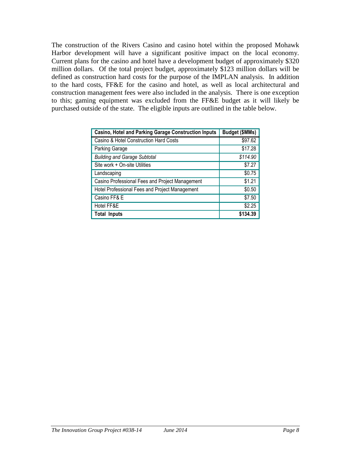The construction of the Rivers Casino and casino hotel within the proposed Mohawk Harbor development will have a significant positive impact on the local economy. Current plans for the casino and hotel have a development budget of approximately \$320 million dollars. Of the total project budget, approximately \$123 million dollars will be defined as construction hard costs for the purpose of the IMPLAN analysis. In addition to the hard costs, FF&E for the casino and hotel, as well as local architectural and construction management fees were also included in the analysis. There is one exception to this; gaming equipment was excluded from the FF&E budget as it will likely be purchased outside of the state. The eligible inputs are outlined in the table below.

| <b>Casino, Hotel and Parking Garage Construction Inputs</b> | Budget (\$MMs) |
|-------------------------------------------------------------|----------------|
| Casino & Hotel Construction Hard Costs                      | \$97.62        |
| Parking Garage                                              | \$17.28        |
| <b>Building and Garage Subtotal</b>                         | \$114.90       |
| Site work + On-site Utilities                               | \$7.27         |
| Landscaping                                                 | \$0.75         |
| Casino Professional Fees and Project Management             | \$1.21         |
| Hotel Professional Fees and Project Management              | \$0.50         |
| Casino FF& E                                                | \$7.50         |
| Hotel FF&E                                                  | \$2.25         |
| Total Inputs                                                | \$134.39       |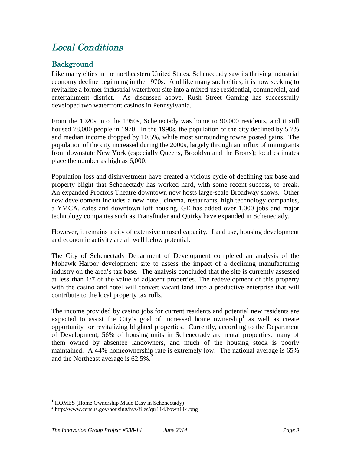# Local Conditions

# Background

Like many cities in the northeastern United States, Schenectady saw its thriving industrial economy decline beginning in the 1970s. And like many such cities, it is now seeking to revitalize a former industrial waterfront site into a mixed-use residential, commercial, and entertainment district. As discussed above, Rush Street Gaming has successfully developed two waterfront casinos in Pennsylvania.

From the 1920s into the 1950s, Schenectady was home to 90,000 residents, and it still housed 78,000 people in 1970. In the 1990s, the population of the city declined by 5.7% and median income dropped by 10.5%, while most surrounding towns posted gains. The population of the city increased during the 2000s, largely through an influx of immigrants from downstate New York (especially Queens, Brooklyn and the Bronx); local estimates place the number as high as 6,000.

Population loss and disinvestment have created a vicious cycle of declining tax base and property blight that Schenectady has worked hard, with some recent success, to break. An expanded Proctors Theatre downtown now hosts large-scale Broadway shows. Other new development includes a new hotel, cinema, restaurants, high technology companies, a YMCA, cafes and downtown loft housing. GE has added over 1,000 jobs and major technology companies such as Transfinder and Quirky have expanded in Schenectady.

However, it remains a city of extensive unused capacity. Land use, housing development and economic activity are all well below potential.

The City of Schenectady Department of Development completed an analysis of the Mohawk Harbor development site to assess the impact of a declining manufacturing industry on the area's tax base. The analysis concluded that the site is currently assessed at less than 1/7 of the value of adjacent properties. The redevelopment of this property with the casino and hotel will convert vacant land into a productive enterprise that will contribute to the local property tax rolls.

The income provided by casino jobs for current residents and potential new residents are expected to assist the City's goal of increased home ownership<sup>1</sup> as well as create opportunity for revitalizing blighted properties. Currently, according to the Department of Development, 56% of housing units in Schenectady are rental properties, many of them owned by absentee landowners, and much of the housing stock is poorly maintained. A 44% homeownership rate is extremely low. The national average is 65% and the Northeast average is  $62.5\%$ <sup>2</sup>

 $<sup>1</sup>$  HOMES (Home Ownership Made Easy in Schenectady)</sup>

<sup>2</sup> http://www.census.gov/housing/hvs/files/qtr114/hown114.png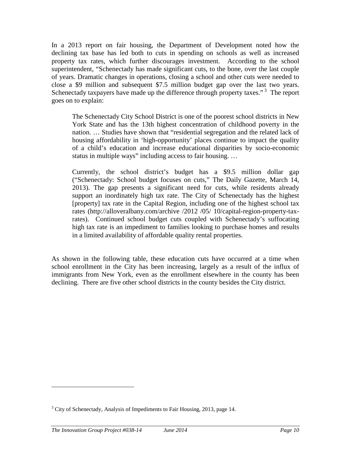In a 2013 report on fair housing, the Department of Development noted how the declining tax base has led both to cuts in spending on schools as well as increased property tax rates, which further discourages investment. According to the school superintendent, "Schenectady has made significant cuts, to the bone, over the last couple of years. Dramatic changes in operations, closing a school and other cuts were needed to close a \$9 million and subsequent \$7.5 million budget gap over the last two years. Schenectady taxpayers have made up the difference through property taxes."<sup>3</sup> The report goes on to explain:

The Schenectady City School District is one of the poorest school districts in New York State and has the 13th highest concentration of childhood poverty in the nation. … Studies have shown that "residential segregation and the related lack of housing affordability in 'high-opportunity' places continue to impact the quality of a child's education and increase educational disparities by socio-economic status in multiple ways" including access to fair housing. …

Currently, the school district's budget has a \$9.5 million dollar gap ("Schenectady: School budget focuses on cuts," The Daily Gazette, March 14, 2013). The gap presents a significant need for cuts, while residents already support an inordinately high tax rate. The City of Schenectady has the highest [property] tax rate in the Capital Region, including one of the highest school tax rates (http://alloveralbany.com/archive /2012 /05/ 10/capital-region-property-taxrates). Continued school budget cuts coupled with Schenectady's suffocating high tax rate is an impediment to families looking to purchase homes and results in a limited availability of affordable quality rental properties.

As shown in the following table, these education cuts have occurred at a time when school enrollment in the City has been increasing, largely as a result of the influx of immigrants from New York, even as the enrollment elsewhere in the county has been declining. There are five other school districts in the county besides the City district.

<sup>&</sup>lt;sup>3</sup> City of Schenectady, Analysis of Impediments to Fair Housing, 2013, page 14.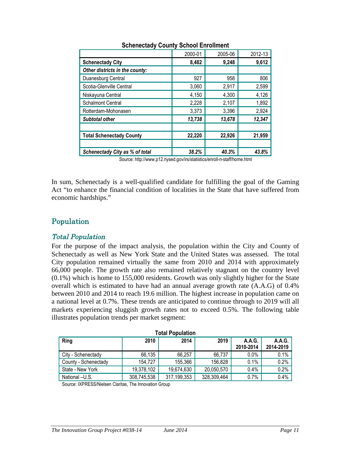|                                       | 2000-01 | 2005-06 | 2012-13 |
|---------------------------------------|---------|---------|---------|
| <b>Schenectady City</b>               | 8,482   | 9,248   | 9,612   |
| Other districts in the county:        |         |         |         |
| Duanesburg Central                    | 927     | 958     | 806     |
| Scotia-Glenville Central              | 3,060   | 2,917   | 2,599   |
| Niskayuna Central                     | 4,150   | 4,300   | 4,126   |
| <b>Schalmont Central</b>              | 2,228   | 2,107   | 1,892   |
| Rotterdam-Mohonasen                   | 3,373   | 3,396   | 2,924   |
| <b>Subtotal other</b>                 | 13,738  | 13,678  | 12,347  |
|                                       |         |         |         |
| <b>Total Schenectady County</b>       | 22,220  | 22,926  | 21,959  |
|                                       |         |         |         |
| <b>Schenectady City as % of total</b> | 38.2%   | 40.3%   | 43.8%   |

### **Schenectady County School Enrollment**

Source: http://www.p12.nysed.gov/irs/statistics/enroll-n-staff/home.html

In sum, Schenectady is a well-qualified candidate for fulfilling the goal of the Gaming Act "to enhance the financial condition of localities in the State that have suffered from economic hardships."

## Population

#### Total Population

For the purpose of the impact analysis, the population within the City and County of Schenectady as well as New York State and the United States was assessed. The total City population remained virtually the same from 2010 and 2014 with approximately 66,000 people. The growth rate also remained relatively stagnant on the country level (0.1%) which is home to 155,000 residents. Growth was only slightly higher for the State overall which is estimated to have had an annual average growth rate (A.A.G) of 0.4% between 2010 and 2014 to reach 19.6 million. The highest increase in population came on a national level at 0.7%. These trends are anticipated to continue through to 2019 will all markets experiencing sluggish growth rates not to exceed 0.5%. The following table illustrates population trends per market segment:

| <b>Total Population</b> |             |             |             |                     |                     |  |  |
|-------------------------|-------------|-------------|-------------|---------------------|---------------------|--|--|
| Ring                    | 2010        | 2014        | 2019        | A.A.G.<br>2010-2014 | A.A.G.<br>2014-2019 |  |  |
| City - Schenectady      | 66,135      | 66,257      | 66,737      | $0.0\%$             | 0.1%                |  |  |
| County - Schenectady    | 154.727     | 155,366     | 156,828     | 0.1%                | 0.2%                |  |  |
| State - New York        | 19,378,102  | 19,674,630  | 20,050,570  | 0.4%                | 0.2%                |  |  |
| National -U.S.          | 308,745,538 | 317,199,353 | 328,309,464 | 0.7%                | 0.4%                |  |  |

Source: IXPRESS/Nielsen Claritas, The Innovation Group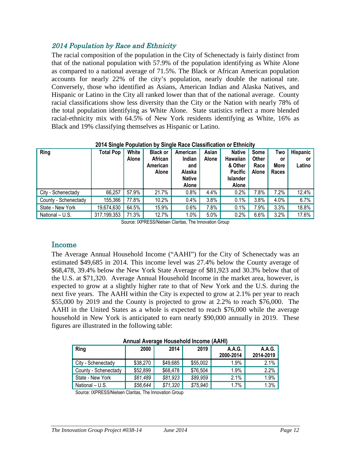### <sup>2014</sup> Population by Race and Ethnicity

The racial composition of the population in the City of Schenectady is fairly distinct from that of the national population with 57.9% of the population identifying as White Alone as compared to a national average of 71.5%. The Black or African American population accounts for nearly 22% of the city's population, nearly double the national rate. Conversely, those who identified as Asians, American Indian and Alaska Natives, and Hispanic or Latino in the City all ranked lower than that of the national average. County racial classifications show less diversity than the City or the Nation with nearly 78% of the total population identifying as White Alone. State statistics reflect a more blended racial-ethnicity mix with 64.5% of New York residents identifying as White, 16% as Black and 19% classifying themselves as Hispanic or Latino.

| Ring                 | <b>Total Pop</b> | White<br><b>Alone</b> | <b>Black or</b><br>African<br>American<br>Alone | American<br>Indian<br>and<br>Alaska<br><b>Native</b><br>Alone | Asian<br>Alone | <b>Native</b><br><b>Hawaiian</b><br>& Other<br><b>Pacific</b><br><b>Islander</b><br>Alone | Some<br>Other<br>Race<br><b>Alone</b> | Two<br>or<br>More<br>Races | <b>Hispanic</b><br>or<br>Latino |
|----------------------|------------------|-----------------------|-------------------------------------------------|---------------------------------------------------------------|----------------|-------------------------------------------------------------------------------------------|---------------------------------------|----------------------------|---------------------------------|
| City - Schenectady   | 66,257           | 57.9%                 | 21.7%                                           | 0.8%                                                          | 4.4%           | 0.2%                                                                                      | 7.8%                                  | 7.2%                       | 12.4%                           |
| County - Schenectady | 155,366          | 77.8%                 | 10.2%                                           | 0.4%                                                          | 3.8%           | 0.1%                                                                                      | 3.8%                                  | 4.0%                       | 6.7%                            |
| State - New York     | 19,674,630       | 64.5%                 | 15.9%                                           | 0.6%                                                          | 7.8%           | 0.1%                                                                                      | 7.9%                                  | 3.3%                       | 18.8%                           |
| National - U.S.      | 317,199,353      | 71.3%                 | 12.7%                                           | 1.0%                                                          | 5.0%           | 0.2%                                                                                      | 6.6%                                  | 3.2%                       | 17.6%                           |

#### **2014 Single Population by Single Race Classification or Ethnicity**

Source: IXPRESS/Nielsen Claritas, The Innovation Group

### Income

The Average Annual Household Income ("AAHI") for the City of Schenectady was an estimated \$49,685 in 2014. This income level was 27.4% below the County average of \$68,478, 39.4% below the New York State Average of \$81,923 and 30.3% below that of the U.S. at \$71,320. Average Annual Household Income in the market area, however, is expected to grow at a slightly higher rate to that of New York and the U.S. during the next five years. The AAHI within the City is expected to grow at 2.1% per year to reach \$55,000 by 2019 and the County is projected to grow at 2.2% to reach \$76,000. The AAHI in the United States as a whole is expected to reach \$76,000 while the average household in New York is anticipated to earn nearly \$90,000 annually in 2019. These figures are illustrated in the following table:

| Allitual Average Housenold Income (AAHI) |          |          |          |           |           |  |  |
|------------------------------------------|----------|----------|----------|-----------|-----------|--|--|
| Ring                                     | 2000     | 2014     | 2019     | A.A.G.    | A.A.G.    |  |  |
|                                          |          |          |          | 2000-2014 | 2014-2019 |  |  |
| City - Schenectady                       | \$38,270 | \$49,685 | \$55,002 | 1.9%      | 2.1%      |  |  |
| County - Schenectady                     | \$52,899 | \$68,478 | \$76,504 | 1.9%      | 2.2%      |  |  |
| State - New York                         | \$61,489 | \$81,923 | \$89,959 | 2.1%      | 1.9%      |  |  |
| National - U.S.                          | \$56,644 | \$71,320 | \$75,940 | 1.7%      | 1.3%      |  |  |

**Annual Average Household Income (AAHI)**

Source: IXPRESS/Nielsen Claritas, The Innovation Group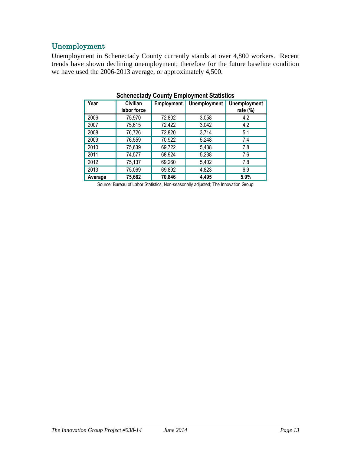# Unemployment

Unemployment in Schenectady County currently stands at over 4,800 workers. Recent trends have shown declining unemployment; therefore for the future baseline condition we have used the 2006-2013 average, or approximately 4,500.

| Year    | Civilian<br>labor force | <b>Employment</b> | <b>Unemployment</b> | <b>Unemployment</b><br>rate $(\%)$ |
|---------|-------------------------|-------------------|---------------------|------------------------------------|
| 2006    | 75,970                  | 72,802            | 3,058               | 4.2                                |
| 2007    | 75,615                  | 72,422            | 3,042               | 4.2                                |
| 2008    | 76,726                  | 72,820            | 3,714               | 5.1                                |
| 2009    | 76,559                  | 70,922            | 5,248               | 7.4                                |
| 2010    | 75,639                  | 69,722            | 5,438               | 7.8                                |
| 2011    | 74,577                  | 68,924            | 5,238               | 7.6                                |
| 2012    | 75,137                  | 69,260            | 5,402               | 7.8                                |
| 2013    | 75,069                  | 69,892            | 4,823               | 6.9                                |
| Average | 75,662                  | 70,846            | 4,495               | 5.9%                               |

**Schenectady County Employment Statistics**

Source: Bureau of Labor Statistics, Non-seasonally adjusted; The Innovation Group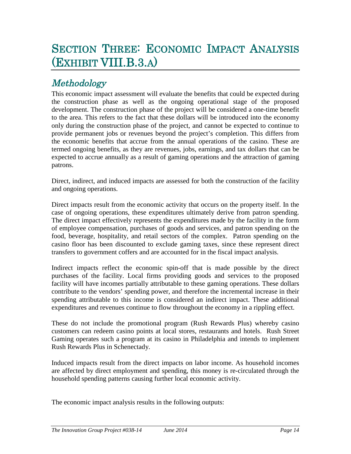# SECTION THREE: ECONOMIC IMPACT ANALYSIS (EXHIBIT VIII.B.3.A)

# Methodology

This economic impact assessment will evaluate the benefits that could be expected during the construction phase as well as the ongoing operational stage of the proposed development. The construction phase of the project will be considered a one-time benefit to the area. This refers to the fact that these dollars will be introduced into the economy only during the construction phase of the project, and cannot be expected to continue to provide permanent jobs or revenues beyond the project's completion. This differs from the economic benefits that accrue from the annual operations of the casino. These are termed ongoing benefits, as they are revenues, jobs, earnings, and tax dollars that can be expected to accrue annually as a result of gaming operations and the attraction of gaming patrons.

Direct, indirect, and induced impacts are assessed for both the construction of the facility and ongoing operations.

Direct impacts result from the economic activity that occurs on the property itself. In the case of ongoing operations, these expenditures ultimately derive from patron spending. The direct impact effectively represents the expenditures made by the facility in the form of employee compensation, purchases of goods and services, and patron spending on the food, beverage, hospitality, and retail sectors of the complex. Patron spending on the casino floor has been discounted to exclude gaming taxes, since these represent direct transfers to government coffers and are accounted for in the fiscal impact analysis.

Indirect impacts reflect the economic spin-off that is made possible by the direct purchases of the facility. Local firms providing goods and services to the proposed facility will have incomes partially attributable to these gaming operations. These dollars contribute to the vendors' spending power, and therefore the incremental increase in their spending attributable to this income is considered an indirect impact. These additional expenditures and revenues continue to flow throughout the economy in a rippling effect.

These do not include the promotional program (Rush Rewards Plus) whereby casino customers can redeem casino points at local stores, restaurants and hotels. Rush Street Gaming operates such a program at its casino in Philadelphia and intends to implement Rush Rewards Plus in Schenectady.

Induced impacts result from the direct impacts on labor income. As household incomes are affected by direct employment and spending, this money is re-circulated through the household spending patterns causing further local economic activity.

The economic impact analysis results in the following outputs: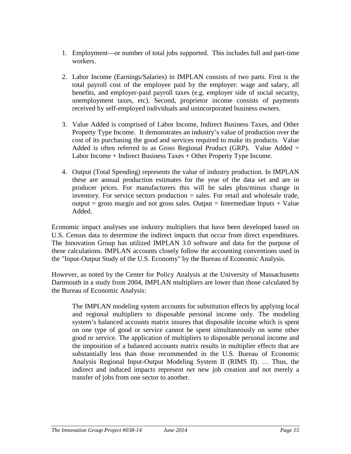- 1. Employment—or number of total jobs supported. This includes full and part-time workers.
- 2. Labor Income (Earnings/Salaries) in IMPLAN consists of two parts. First is the total payroll cost of the employee paid by the employer: wage and salary, all benefits, and employer-paid payroll taxes (e.g. employer side of social security, unemployment taxes, etc). Second, proprietor income consists of payments received by self-employed individuals and unincorporated business owners.
- 3. Value Added is comprised of Labor Income, Indirect Business Taxes, and Other Property Type Income. It demonstrates an industry's value of production over the cost of its purchasing the good and services required to make its products. Value Added is often referred to as Gross Regional Product (GRP). Value Added  $=$ Labor Income + Indirect Business Taxes + Other Property Type Income.
- 4. Output (Total Spending) represents the value of industry production. In IMPLAN these are annual production estimates for the year of the data set and are in producer prices. For manufacturers this will be sales plus/minus change in inventory. For service sectors production = sales. For retail and wholesale trade, output = gross margin and not gross sales. Output = Intermediate Inputs  $+$  Value Added.

Economic impact analyses use industry multipliers that have been developed based on U.S. Census data to determine the indirect impacts that occur from direct expenditures. The Innovation Group has utilized IMPLAN 3.0 software and data for the purpose of these calculations. IMPLAN accounts closely follow the accounting conventions used in the "Input-Output Study of the U.S. Economy" by the Bureau of Economic Analysis.

However, as noted by the Center for Policy Analysis at the University of Massachusetts Dartmouth in a study from 2004, IMPLAN multipliers are lower than those calculated by the Bureau of Economic Analysis:

The IMPLAN modeling system accounts for substitution effects by applying local and regional multipliers to disposable personal income only. The modeling system's balanced accounts matrix insures that disposable income which is spent on one type of good or service cannot be spent simultaneously on some other good or service. The application of multipliers to disposable personal income and the imposition of a balanced accounts matrix results in multiplier effects that are substantially less than those recommended in the U.S. Bureau of Economic Analysis Regional Input-Output Modeling System II (RIMS II). … Thus, the indirect and induced impacts represent *net* new job creation and not merely a transfer of jobs from one sector to another.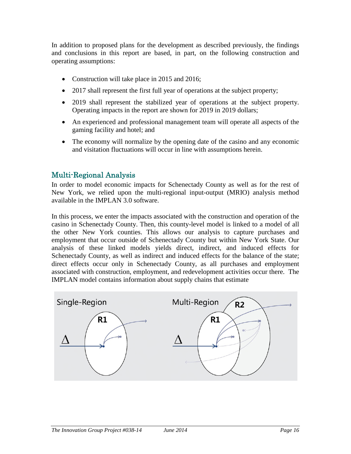In addition to proposed plans for the development as described previously, the findings and conclusions in this report are based, in part, on the following construction and operating assumptions:

- Construction will take place in 2015 and 2016;
- 2017 shall represent the first full year of operations at the subject property;
- 2019 shall represent the stabilized year of operations at the subject property. Operating impacts in the report are shown for 2019 in 2019 dollars;
- An experienced and professional management team will operate all aspects of the gaming facility and hotel; and
- The economy will normalize by the opening date of the casino and any economic and visitation fluctuations will occur in line with assumptions herein.

# Multi-Regional Analysis

In order to model economic impacts for Schenectady County as well as for the rest of New York, we relied upon the multi-regional input-output (MRIO) analysis method available in the IMPLAN 3.0 software.

In this process, we enter the impacts associated with the construction and operation of the casino in Schenectady County. Then, this county-level model is linked to a model of all the other New York counties. This allows our analysis to capture purchases and employment that occur outside of Schenectady County but within New York State. Our analysis of these linked models yields direct, indirect, and induced effects for Schenectady County, as well as indirect and induced effects for the balance of the state; direct effects occur only in Schenectady County, as all purchases and employment associated with construction, employment, and redevelopment activities occur there. The IMPLAN model contains information about supply chains that estimate

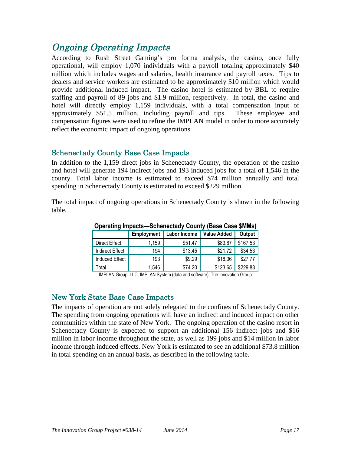# Ongoing Operating Impacts

According to Rush Street Gaming's pro forma analysis, the casino, once fully operational, will employ 1,070 individuals with a payroll totaling approximately \$40 million which includes wages and salaries, health insurance and payroll taxes. Tips to dealers and service workers are estimated to be approximately \$10 million which would provide additional induced impact. The casino hotel is estimated by BBL to require staffing and payroll of 89 jobs and \$1.9 million, respectively. In total, the casino and hotel will directly employ 1,159 individuals, with a total compensation input of approximately \$51.5 million, including payroll and tips. These employee and compensation figures were used to refine the IMPLAN model in order to more accurately reflect the economic impact of ongoing operations.

## Schenectady County Base Case Impacts

In addition to the 1,159 direct jobs in Schenectady County, the operation of the casino and hotel will generate 194 indirect jobs and 193 induced jobs for a total of 1,546 in the county. Total labor income is estimated to exceed \$74 million annually and total spending in Schenectady County is estimated to exceed \$229 million.

The total impact of ongoing operations in Schenectady County is shown in the following table.

| -                      |                   |              |                    |          |  |  |
|------------------------|-------------------|--------------|--------------------|----------|--|--|
|                        | <b>Employment</b> | Labor Income | <b>Value Added</b> | Output   |  |  |
| Direct Effect          | 1,159             | \$51.47      | \$83.87            | \$167.53 |  |  |
| <b>Indirect Effect</b> | 194               | \$13.45      | \$21.72            | \$34.53  |  |  |
| <b>Induced Effect</b>  | 193               | \$9.29       | \$18.06            | \$27.77  |  |  |
| Total                  | 1,546             | \$74.20      | \$123.65           | \$229.83 |  |  |

**Operating Impacts—Schenectady County (Base Case \$MMs)**

IMPLAN Group, LLC, IMPLAN System (data and software); The Innovation Group

# New York State Base Case Impacts

The impacts of operation are not solely relegated to the confines of Schenectady County. The spending from ongoing operations will have an indirect and induced impact on other communities within the state of New York. The ongoing operation of the casino resort in Schenectady County is expected to support an additional 156 indirect jobs and \$16 million in labor income throughout the state, as well as 199 jobs and \$14 million in labor income through induced effects. New York is estimated to see an additional \$73.8 million in total spending on an annual basis, as described in the following table.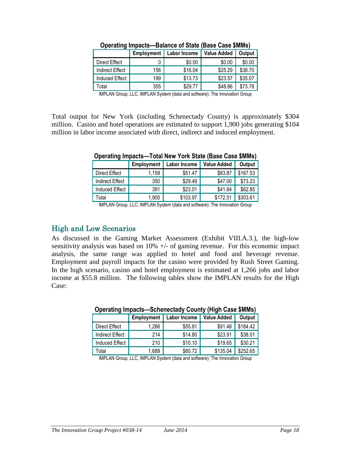|                        | <b>Employment</b> | <b>Labor Income</b> | <b>Value Added</b> | Output  |
|------------------------|-------------------|---------------------|--------------------|---------|
| Direct Effect          |                   | \$0.00              | \$0.00             | \$0.00  |
| <b>Indirect Effect</b> | 156               | \$16.04             | \$25.29            | \$38.70 |
| Induced Effect         | 199               | \$13.73             | \$23.57            | \$35.07 |
| Total                  | 355               | \$29.77             | \$48.86            | \$73.78 |

**Operating Impacts—Balance of State (Base Case \$MMs)**

Total output for New York (including Schenectady County) is approximately \$304 million. Casino and hotel operations are estimated to support 1,900 jobs generating \$104 million in labor income associated with direct, indirect and induced employment.

|                        | <b>Employment</b> | Labor Income | <b>Value Added</b> | Output   |  |  |
|------------------------|-------------------|--------------|--------------------|----------|--|--|
| Direct Effect          | 1,159             | \$51.47      | \$83.87            | \$167.53 |  |  |
| <b>Indirect Effect</b> | 350               | \$29.49      | \$47.00            | \$73.23  |  |  |
| <b>Induced Effect</b>  | 391               | \$23.01      | \$41.64            | \$62.85  |  |  |
| Total                  | 1,900             | \$103.97     | \$172.51           | \$303.61 |  |  |

**Operating Impacts—Total New York State (Base Case \$MMs)**

IMPLAN Group, LLC, IMPLAN System (data and software); The Innovation Group

## High and Low Scenarios

As discussed in the Gaming Market Assessment (Exhibit VIII.A.3.), the high-low sensitivity analysis was based on  $10\% +/-$  of gaming revenue. For this economic impact analysis, the same range was applied to hotel and food and beverage revenue. Employment and payroll impacts for the casino were provided by Rush Street Gaming. In the high scenario, casino and hotel employment is estimated at 1,266 jobs and labor income at \$55.8 million. The following tables show the IMPLAN results for the High Case:

| <u>UNULULLIW IIIINUUTU</u><br><b>Principality Adding the Case Alberta</b> |            |                     |                    |          |  |  |
|---------------------------------------------------------------------------|------------|---------------------|--------------------|----------|--|--|
|                                                                           | Employment | <b>Labor Income</b> | <b>Value Added</b> | Output   |  |  |
| Direct Effect                                                             | 1,266      | \$55.81             | \$91.48            | \$184.42 |  |  |
| <b>Indirect Effect</b>                                                    | 214        | \$14.80             | \$23.91            | \$38.01  |  |  |
| <b>Induced Effect</b>                                                     | 210        | \$10.10             | \$19.65            | \$30.21  |  |  |
| Total                                                                     | 1,689      | \$80.72             | \$135.04           | \$252.65 |  |  |

### **Operating Impacts—Schenectady County (High Case \$MMs)**

IMPLAN Group, LLC, IMPLAN System (data and software); The Innovation Group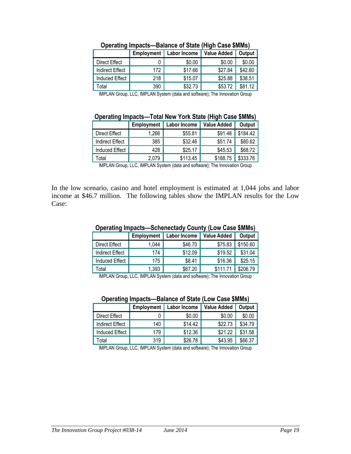|                        | <b>Employment</b> | Labor Income | <b>Value Added</b> | Output  |
|------------------------|-------------------|--------------|--------------------|---------|
| Direct Effect          |                   | \$0.00       | \$0.00             | \$0.00  |
| <b>Indirect Effect</b> | 172               | \$17.66      | \$27.84            | \$42.60 |
| <b>Induced Effect</b>  | 218               | \$15.07      | \$25.88            | \$38.51 |
| Total                  | 390               | \$32.73      | \$53.72            | \$81.12 |

**Operating Impacts—Balance of State (High Case \$MMs)**

#### **Operating Impacts—Total New York State (High Case \$MMs)**

|                        | <b>Employment</b> | Labor Income | <b>Value Added</b> | Output   |  |
|------------------------|-------------------|--------------|--------------------|----------|--|
| Direct Effect          | 1,266             | \$55.81      | \$91.48            | \$184.42 |  |
| <b>Indirect Effect</b> | 385               | \$32.46      | \$51.74            | \$80.62  |  |
| <b>Induced Effect</b>  | 428               | \$25.17      | \$45.53            | \$68.72  |  |
| Total                  | 2,079             | \$113.45     | \$188.75           | \$333.76 |  |

IMPLAN Group, LLC, IMPLAN System (data and software); The Innovation Group

In the low scenario, casino and hotel employment is estimated at 1,044 jobs and labor income at \$46.7 million. The following tables show the IMPLAN results for the Low Case:

### **Employment Labor Income Value Added Output** Direct Effect | 1,044 |  $$46.70$  | \$75.83 \$150.60 Indirect Effect | 174 | \$12.09 | \$19.52 | \$31.04 Induced Effect | 175 | \$8.41 | \$16.36 \$25.15 Total 1,393 \$67.20 \$111.71 \$206.79

#### **Operating Impacts—Schenectady County (Low Case \$MMs)**

IMPLAN Group, LLC, IMPLAN System (data and software); The Innovation Group

#### **Operating Impacts—Balance of State (Low Case \$MMs)**

|                        | <b>Employment</b> | Labor Income | <b>Value Added</b> | Output  |
|------------------------|-------------------|--------------|--------------------|---------|
| Direct Effect          |                   | \$0.00       | \$0.00             | \$0.00  |
| <b>Indirect Effect</b> | 140               | \$14.42      | \$22.73            | \$34.79 |
| Induced Effect         | 179               | \$12.36      | \$21.22            | \$31.58 |
| Total                  | 319               | \$26.78      | \$43.95            | \$66.37 |

IMPLAN Group, LLC, IMPLAN System (data and software); The Innovation Group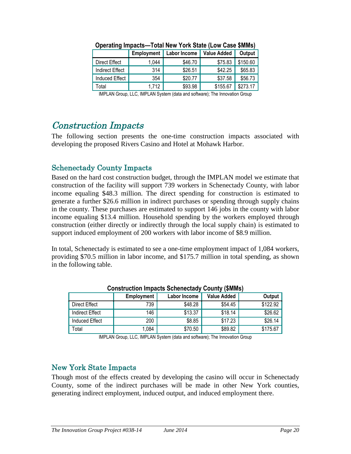|                        | <b>Employment</b> | Labor Income | <b>Value Added</b> | Output   |
|------------------------|-------------------|--------------|--------------------|----------|
| Direct Effect          | 1,044             | \$46.70      | \$75.83            | \$150.60 |
| <b>Indirect Effect</b> | 314               | \$26.51      | \$42.25            | \$65.83  |
| <b>Induced Effect</b>  | 354               | \$20.77      | \$37.58            | \$56.73  |
| Total                  | 1.712             | \$93.98      | \$155.67           | \$273.17 |

**Operating Impacts—Total New York State (Low Case \$MMs)**

# Construction Impacts

The following section presents the one-time construction impacts associated with developing the proposed Rivers Casino and Hotel at Mohawk Harbor.

# Schenectady County Impacts

Based on the hard cost construction budget, through the IMPLAN model we estimate that construction of the facility will support 739 workers in Schenectady County, with labor income equaling \$48.3 million. The direct spending for construction is estimated to generate a further \$26.6 million in indirect purchases or spending through supply chains in the county. These purchases are estimated to support 146 jobs in the county with labor income equaling \$13.4 million. Household spending by the workers employed through construction (either directly or indirectly through the local supply chain) is estimated to support induced employment of 200 workers with labor income of \$8.9 million.

In total, Schenectady is estimated to see a one-time employment impact of 1,084 workers, providing \$70.5 million in labor income, and \$175.7 million in total spending, as shown in the following table.

|                        | Employment | Labor Income | <b>Value Added</b> | Output   |  |  |
|------------------------|------------|--------------|--------------------|----------|--|--|
| <b>Direct Effect</b>   | 739        | \$48.28      | \$54.45            | \$122.92 |  |  |
| <b>Indirect Effect</b> | 146        | \$13.37      | \$18.14            | \$26.62  |  |  |
| <b>Induced Effect</b>  | 200        | \$8.85       | \$17.23            | \$26.14  |  |  |
| Total                  | 1,084      | \$70.50      | \$89.82            | \$175.67 |  |  |

**Construction Impacts Schenectady County (\$MMs)**

IMPLAN Group, LLC, IMPLAN System (data and software); The Innovation Group

# New York State Impacts

Though most of the effects created by developing the casino will occur in Schenectady County, some of the indirect purchases will be made in other New York counties, generating indirect employment, induced output, and induced employment there.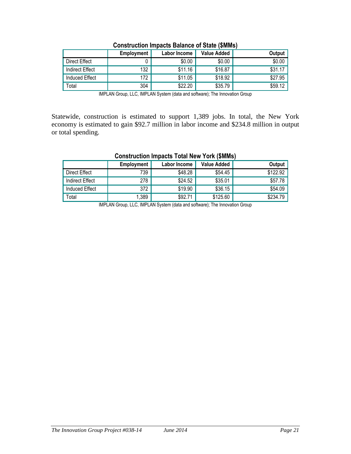|                 | Employment | Labor Income | <b>Value Added</b> | Output  |
|-----------------|------------|--------------|--------------------|---------|
| Direct Effect   |            | \$0.00       | \$0.00             | \$0.00  |
| Indirect Effect | 132        | \$11.16      | \$16.87            | \$31.17 |
| Induced Effect  | 172        | \$11.05      | \$18.92            | \$27.95 |
| Total           | 304        | \$22.20      | \$35.79            | \$59.12 |

Statewide, construction is estimated to support 1,389 jobs. In total, the New York economy is estimated to gain \$92.7 million in labor income and \$234.8 million in output or total spending.

|                 | <b>Employment</b> | Labor Income | <b>Value Added</b> | Output   |
|-----------------|-------------------|--------------|--------------------|----------|
| Direct Effect   | 739               | \$48.28      | \$54.45            | \$122.92 |
| Indirect Effect | 278               | \$24.52      | \$35.01            | \$57.78  |
| Induced Effect  | 372               | \$19.90      | \$36.15            | \$54.09  |
| Total           | 1,389             | \$92.71      | \$125.60           | \$234.79 |

#### **Construction Impacts Total New York (\$MMs)**

IMPLAN Group, LLC, IMPLAN System (data and software); The Innovation Group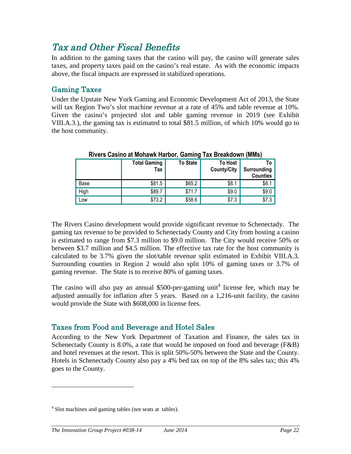# Tax and Other Fiscal Benefits

In addition to the gaming taxes that the casino will pay, the casino will generate sales taxes, and property taxes paid on the casino's real estate. As with the economic impacts above, the fiscal impacts are expressed in stabilized operations.

# Gaming Taxes

Under the Upstate New York Gaming and Economic Development Act of 2013, the State will tax Region Two's slot machine revenue at a rate of 45% and table revenue at 10%. Given the casino's projected slot and table gaming revenue in 2019 (see Exhibit VIII.A.3.), the gaming tax is estimated to total \$81.5 million, of which 10% would go to the host community.

|      | <b>Total Gaming</b><br>Tax | <b>To State</b> | <b>To Host</b><br><b>County/City</b> | ı a<br>Surrounding<br><b>Counties</b> |
|------|----------------------------|-----------------|--------------------------------------|---------------------------------------|
| Base | \$81.5                     | \$65.2          | \$8.1                                | \$8.1                                 |
| High | \$89.7                     | \$71.7          | \$9.0                                | \$9.0                                 |
| Low  | \$73.2                     | \$58.6          | \$7.3                                | \$7.3                                 |

**Rivers Casino at Mohawk Harbor, Gaming Tax Breakdown (MMs)**

The Rivers Casino development would provide significant revenue to Schenectady. The gaming tax revenue to be provided to Schenectady County and City from hosting a casino is estimated to range from \$7.3 million to \$9.0 million. The City would receive 50% or between \$3.7 million and \$4.5 million. The effective tax rate for the host community is calculated to be 3.7% given the slot/table revenue split estimated in Exhibit VIII.A.3. Surrounding counties in Region 2 would also split 10% of gaming taxes or 3.7% of gaming revenue. The State is to receive 80% of gaming taxes.

The casino will also pay an annual \$500-per-gaming unit<sup>4</sup> license fee, which may be adjusted annually for inflation after 5 years. Based on a 1,216-unit facility, the casino would provide the State with \$608,000 in license fees.

# Taxes from Food and Beverage and Hotel Sales

According to the New York Department of Taxation and Finance, the sales tax in Schenectady County is 8.0%, a rate that would be imposed on food and beverage (F&B) and hotel revenues at the resort. This is split 50%-50% between the State and the County. Hotels in Schenectady County also pay a 4% bed tax on top of the 8% sales tax; this 4% goes to the County.

<sup>&</sup>lt;sup>4</sup> Slot machines and gaming tables (not seats at tables).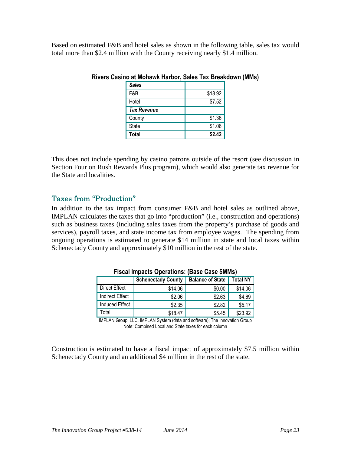Based on estimated F&B and hotel sales as shown in the following table, sales tax would total more than \$2.4 million with the County receiving nearly \$1.4 million.

| <b>Sales</b>       |         |
|--------------------|---------|
| F&B                | \$18.92 |
| Hotel              | \$7.52  |
| <b>Tax Revenue</b> |         |
| County             | \$1.36  |
| <b>State</b>       | \$1.06  |
| <b>Total</b>       | \$2.42  |

#### **Rivers Casino at Mohawk Harbor, Sales Tax Breakdown (MMs)**

This does not include spending by casino patrons outside of the resort (see discussion in Section Four on Rush Rewards Plus program), which would also generate tax revenue for the State and localities.

## Taxes from "Production"

In addition to the tax impact from consumer F&B and hotel sales as outlined above, IMPLAN calculates the taxes that go into "production" (i.e., construction and operations) such as business taxes (including sales taxes from the property's purchase of goods and services), payroll taxes, and state income tax from employee wages. The spending from ongoing operations is estimated to generate \$14 million in state and local taxes within Schenectady County and approximately \$10 million in the rest of the state.

|                        | <b>Schenectady County</b> | <b>Balance of State</b> | <b>Total NY</b> |
|------------------------|---------------------------|-------------------------|-----------------|
| <b>Direct Effect</b>   | \$14.06                   | \$0.00                  | \$14.06         |
| <b>Indirect Effect</b> | \$2.06                    | \$2.63                  | \$4.69          |
| Induced Effect         | \$2.35                    | \$2.82                  | \$5.17          |
| otal <sup>-</sup>      | \$18.47                   | \$5.45                  | \$23.92         |

**Fiscal Impacts Operations: (Base Case \$MMs)**

IMPLAN Group, LLC, IMPLAN System (data and software); The Innovation Group Note: Combined Local and State taxes for each column

Construction is estimated to have a fiscal impact of approximately \$7.5 million within Schenectady County and an additional \$4 million in the rest of the state.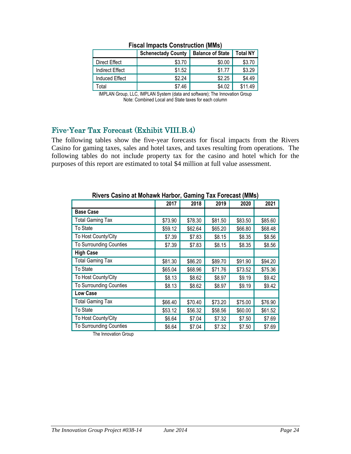|                        | <b>Schenectady County</b> | <b>Balance of State</b> | <b>Total NY</b> |
|------------------------|---------------------------|-------------------------|-----------------|
| Direct Effect          | \$3.70                    | \$0.00                  | \$3.70          |
| <b>Indirect Effect</b> | \$1.52                    | \$1.77                  | \$3.29          |
| <b>Induced Effect</b>  | \$2.24                    | \$2.25                  | \$4.49          |
| Total                  | \$7.46                    | \$4.02                  | \$11.49         |

#### **Fiscal Impacts Construction (MMs)**

IMPLAN Group, LLC, IMPLAN System (data and software); The Innovation Group Note: Combined Local and State taxes for each column

# Five-Year Tax Forecast (Exhibit VIII.B.4)

The following tables show the five-year forecasts for fiscal impacts from the Rivers Casino for gaming taxes, sales and hotel taxes, and taxes resulting from operations. The following tables do not include property tax for the casino and hotel which for the purposes of this report are estimated to total \$4 million at full value assessment.

| <u>KIVUJ VUJINU UL MUNUMN HUNUU, VUNINIY TUA TUNGGOL (MMJ)</u> |         |         |         |         |         |  |  |
|----------------------------------------------------------------|---------|---------|---------|---------|---------|--|--|
|                                                                | 2017    | 2018    | 2019    | 2020    | 2021    |  |  |
| <b>Base Case</b>                                               |         |         |         |         |         |  |  |
| <b>Total Gaming Tax</b>                                        | \$73.90 | \$78.30 | \$81.50 | \$83.50 | \$85.60 |  |  |
| To State                                                       | \$59.12 | \$62.64 | \$65.20 | \$66.80 | \$68.48 |  |  |
| To Host County/City                                            | \$7.39  | \$7.83  | \$8.15  | \$8.35  | \$8.56  |  |  |
| <b>To Surrounding Counties</b>                                 | \$7.39  | \$7.83  | \$8.15  | \$8.35  | \$8.56  |  |  |
| <b>High Case</b>                                               |         |         |         |         |         |  |  |
| <b>Total Gaming Tax</b>                                        | \$81.30 | \$86.20 | \$89.70 | \$91.90 | \$94.20 |  |  |
| To State                                                       | \$65.04 | \$68.96 | \$71.76 | \$73.52 | \$75.36 |  |  |
| To Host County/City                                            | \$8.13  | \$8.62  | \$8.97  | \$9.19  | \$9.42  |  |  |
| To Surrounding Counties                                        | \$8.13  | \$8.62  | \$8.97  | \$9.19  | \$9.42  |  |  |
| <b>Low Case</b>                                                |         |         |         |         |         |  |  |
| <b>Total Gaming Tax</b>                                        | \$66.40 | \$70.40 | \$73.20 | \$75.00 | \$76.90 |  |  |
| To State                                                       | \$53.12 | \$56.32 | \$58.56 | \$60.00 | \$61.52 |  |  |
| To Host County/City                                            | \$6.64  | \$7.04  | \$7.32  | \$7.50  | \$7.69  |  |  |
| <b>To Surrounding Counties</b>                                 | \$6.64  | \$7.04  | \$7.32  | \$7.50  | \$7.69  |  |  |

### **Rivers Casino at Mohawk Harbor, Gaming Tax Forecast (MMs)**

The Innovation Group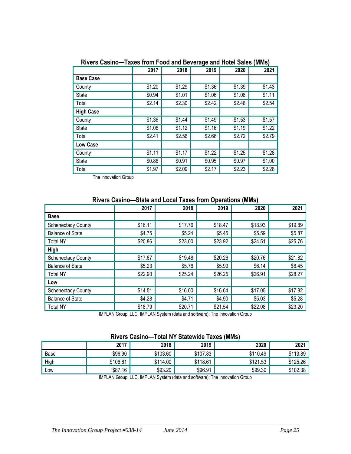|                  | 2017   | 2018   | 2019   | 2020   | 2021   |
|------------------|--------|--------|--------|--------|--------|
| <b>Base Case</b> |        |        |        |        |        |
| County           | \$1.20 | \$1.29 | \$1.36 | \$1.39 | \$1.43 |
| State            | \$0.94 | \$1.01 | \$1.06 | \$1.08 | \$1.11 |
| Total            | \$2.14 | \$2.30 | \$2.42 | \$2.48 | \$2.54 |
| <b>High Case</b> |        |        |        |        |        |
| County           | \$1.36 | \$1.44 | \$1.49 | \$1.53 | \$1.57 |
| <b>State</b>     | \$1.06 | \$1.12 | \$1.16 | \$1.19 | \$1.22 |
| Total            | \$2.41 | \$2.56 | \$2.66 | \$2.72 | \$2.79 |
| Low Case         |        |        |        |        |        |
| County           | \$1.11 | \$1.17 | \$1.22 | \$1.25 | \$1.28 |
| State            | \$0.86 | \$0.91 | \$0.95 | \$0.97 | \$1.00 |
| Total            | \$1.97 | \$2.09 | \$2.17 | \$2.23 | \$2.28 |

**Rivers Casino—Taxes from Food and Beverage and Hotel Sales (MMs)**

The Innovation Group

## **Rivers Casino—State and Local Taxes from Operations (MMs)**

|                           | 2017    | 2018    | 2019    | 2020    | 2021    |
|---------------------------|---------|---------|---------|---------|---------|
| <b>Base</b>               |         |         |         |         |         |
| <b>Schenectady County</b> | \$16.11 | \$17.76 | \$18.47 | \$18.93 | \$19.89 |
| <b>Balance of State</b>   | \$4.75  | \$5.24  | \$5.45  | \$5.59  | \$5.87  |
| <b>Total NY</b>           | \$20.86 | \$23.00 | \$23.92 | \$24.51 | \$25.76 |
| <b>High</b>               |         |         |         |         |         |
| <b>Schenectady County</b> | \$17.67 | \$19.48 | \$20.26 | \$20.76 | \$21.82 |
| <b>Balance of State</b>   | \$5.23  | \$5.76  | \$5.99  | \$6.14  | \$6.45  |
| <b>Total NY</b>           | \$22.90 | \$25.24 | \$26.25 | \$26.91 | \$28.27 |
| Low                       |         |         |         |         |         |
| <b>Schenectady County</b> | \$14.51 | \$16.00 | \$16.64 | \$17.05 | \$17.92 |
| <b>Balance of State</b>   | \$4.28  | \$4.71  | \$4.90  | \$5.03  | \$5.28  |
| <b>Total NY</b>           | \$18.79 | \$20.71 | \$21.54 | \$22.08 | \$23.20 |

IMPLAN Group, LLC, IMPLAN System (data and software); The Innovation Group

#### **Rivers Casino—Total NY Statewide Taxes (MMs)**

|      | 2017     | 2018     | 2019     | 2020     | 2021     |
|------|----------|----------|----------|----------|----------|
| Base | \$96.90  | \$103.60 | \$107.83 | \$110.49 | \$113.89 |
| High | \$106.61 | \$114.00 | \$118.61 | \$121.53 | \$125.26 |
| LOW  | \$87.16  | \$93.20  | \$96.91  | \$99.30  | \$102.38 |

IMPLAN Group, LLC, IMPLAN System (data and software); The Innovation Group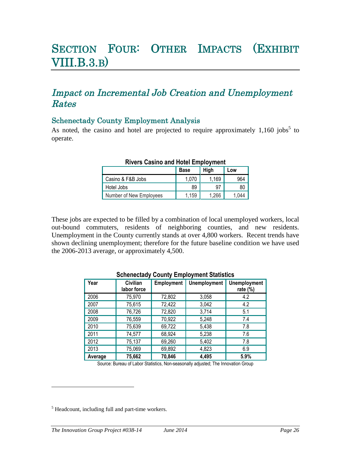# SECTION FOUR: OTHER IMPACTS (EXHIBIT VIII.B.3.B)

# Impact on Incremental Job Creation and Unemployment Rates

## Schenectady County Employment Analysis

As noted, the casino and hotel are projected to require approximately  $1,160$  jobs<sup>5</sup> to operate.

|                         | <b>Base</b> | High  | LOW   |
|-------------------------|-------------|-------|-------|
| Casino & F&B Jobs       | 1,070       | 1,169 | 964   |
| Hotel Jobs              | 89          | 97    | 80    |
| Number of New Employees | 1.159       | 1.266 | 1.044 |

#### **Rivers Casino and Hotel Employment**

These jobs are expected to be filled by a combination of local unemployed workers, local out-bound commuters, residents of neighboring counties, and new residents. Unemployment in the County currently stands at over 4,800 workers. Recent trends have shown declining unemployment; therefore for the future baseline condition we have used the 2006-2013 average, or approximately 4,500.

| <u>,,,,,,,,,,,,,</u> |                         |            |                     |                                    |  |  |
|----------------------|-------------------------|------------|---------------------|------------------------------------|--|--|
| Year                 | Civilian<br>labor force | Employment | <b>Unemployment</b> | <b>Unemployment</b><br>rate $(\%)$ |  |  |
| 2006                 | 75,970                  | 72,802     | 3,058               | 4.2                                |  |  |
| 2007                 | 75,615                  | 72,422     | 3,042               | 4.2                                |  |  |
| 2008                 | 76,726                  | 72,820     | 3,714               | 5.1                                |  |  |
| 2009                 | 76,559                  | 70,922     | 5,248               | 7.4                                |  |  |
| 2010                 | 75,639                  | 69,722     | 5,438               | 7.8                                |  |  |
| 2011                 | 74,577                  | 68,924     | 5,238               | 7.6                                |  |  |
| 2012                 | 75,137                  | 69,260     | 5,402               | 7.8                                |  |  |
| 2013                 | 75,069                  | 69,892     | 4,823               | 6.9                                |  |  |
| Average              | 75,662                  | 70,846     | 4,495               | 5.9%                               |  |  |

### **Schenectady County Employment Statistics**

Source: Bureau of Labor Statistics, Non-seasonally adjusted; The Innovation Group

<sup>&</sup>lt;sup>5</sup> Headcount, including full and part-time workers.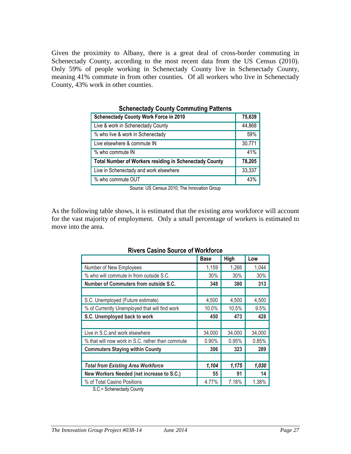Given the proximity to Albany, there is a great deal of cross-border commuting in Schenectady County, according to the most recent data from the US Census (2010). Only 59% of people working in Schenectady County live in Schenectady County, meaning 41% commute in from other counties. Of all workers who live in Schenectady County, 43% work in other counties.

| <u>UCHENECLAUS COUNTY COMMUNIST ALIGNIS</u>            |        |  |  |  |
|--------------------------------------------------------|--------|--|--|--|
| <b>Schenectady County Work Force in 2010</b>           | 75,639 |  |  |  |
| Live & work in Schenectady County                      | 44,868 |  |  |  |
| % who live & work in Schenectady                       | 59%    |  |  |  |
| Live elsewhere & commute IN                            | 30,771 |  |  |  |
| % who commute IN                                       | 41%    |  |  |  |
| Total Number of Workers residing in Schenectady County | 78,205 |  |  |  |
| Live in Schenectady and work elsewhere                 | 33,337 |  |  |  |
| % who commute OUT                                      | 43%    |  |  |  |

**Schenectady County Commuting Patterns**

Source: US Census 2010; The Innovation Group

As the following table shows, it is estimated that the existing area workforce will account for the vast majority of employment. Only a small percentage of workers is estimated to move into the area.

| Rivers Casino Source of Workforce                |             |        |        |  |  |  |  |
|--------------------------------------------------|-------------|--------|--------|--|--|--|--|
|                                                  | <b>Base</b> | High   | Low    |  |  |  |  |
| Number of New Employees                          | 1,159       | 1,266  | 1,044  |  |  |  |  |
| % who will commute in from outside S.C.          | 30%         | 30%    | 30%    |  |  |  |  |
| <b>Number of Commuters from outside S.C.</b>     | 348         | 380    | 313    |  |  |  |  |
|                                                  |             |        |        |  |  |  |  |
| S.C. Unemployed (Future estimate)                | 4,500       | 4,500  | 4,500  |  |  |  |  |
| % of Currently Unemployed that will find work    | 10.0%       | 10.5%  | 9.5%   |  |  |  |  |
| S.C. Unemployed back to work                     | 450         | 473    | 428    |  |  |  |  |
|                                                  |             |        |        |  |  |  |  |
| Live in S.C. and work elsewhere                  | 34,000      | 34,000 | 34,000 |  |  |  |  |
| % that will now work in S.C. rather than commute | 0.90%       | 0.95%  | 0.85%  |  |  |  |  |
| <b>Commuters Staying within County</b>           | 306         | 323    | 289    |  |  |  |  |
|                                                  |             |        |        |  |  |  |  |
| <b>Total from Existing Area Workforce</b>        | 1,104       | 1,175  | 1,030  |  |  |  |  |
| New Workers Needed (net increase to S.C.)        | 55          | 91     | 14     |  |  |  |  |
| % of Total Casino Positions                      | 4.77%       | 7.18%  | 1.38%  |  |  |  |  |

### **Rivers Casino Source of Workforce**

S.C.= Schenectady County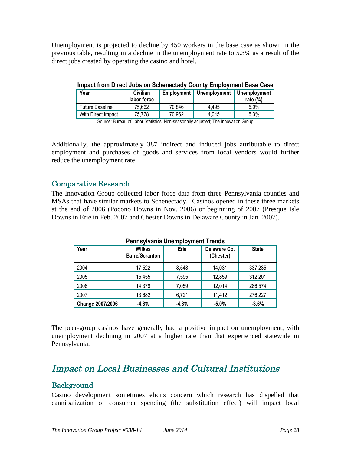Unemployment is projected to decline by 450 workers in the base case as shown in the previous table, resulting in a decline in the unemployment rate to 5.3% as a result of the direct jobs created by operating the casino and hotel.

| Year                                                                            | Civilian<br>labor force |        | Employment   Unemployment   Unemployment | rate $(\%)$ |  |
|---------------------------------------------------------------------------------|-------------------------|--------|------------------------------------------|-------------|--|
| <b>Future Baseline</b>                                                          | 75,662                  | 70,846 | 4.495                                    | 5.9%        |  |
| With Direct Impact                                                              | 75,778                  | 70,962 | 4,045                                    | 5.3%        |  |
| Oranger Daniel of Libra Of Belletter Manufer and Hardback The Barracetter Orang |                         |        |                                          |             |  |

**Impact from Direct Jobs on Schenectady County Employment Base Case**

Source: Bureau of Labor Statistics, Non-seasonally adjusted; The Innovation Group

Additionally, the approximately 387 indirect and induced jobs attributable to direct employment and purchases of goods and services from local vendors would further reduce the unemployment rate.

### Comparative Research

The Innovation Group collected labor force data from three Pennsylvania counties and MSAs that have similar markets to Schenectady. Casinos opened in these three markets at the end of 2006 (Pocono Downs in Nov. 2006) or beginning of 2007 (Presque Isle Downs in Erie in Feb. 2007 and Chester Downs in Delaware County in Jan. 2007).

| Year                    | <b>Wilkes</b><br><b>Barre/Scranton</b> | Erie    | Delaware Co.<br>(Chester) | <b>State</b> |
|-------------------------|----------------------------------------|---------|---------------------------|--------------|
| 2004                    | 17,522                                 | 8,548   | 14,031                    | 337,235      |
| 2005                    | 15,455                                 | 7,595   | 12,859                    | 312,201      |
| 2006                    | 14,379                                 | 7,059   | 12,014                    | 286,574      |
| 2007                    | 13,682                                 | 6,721   | 11,412                    | 276,227      |
| <b>Change 2007/2006</b> | $-4.8%$                                | $-4.8%$ | $-5.0%$                   | $-3.6%$      |

**Pennsylvania Unemployment Trends**

The peer-group casinos have generally had a positive impact on unemployment, with unemployment declining in 2007 at a higher rate than that experienced statewide in Pennsylvania.

# Impact on Local Businesses and Cultural Institutions

# **Background**

Casino development sometimes elicits concern which research has dispelled that cannibalization of consumer spending (the substitution effect) will impact local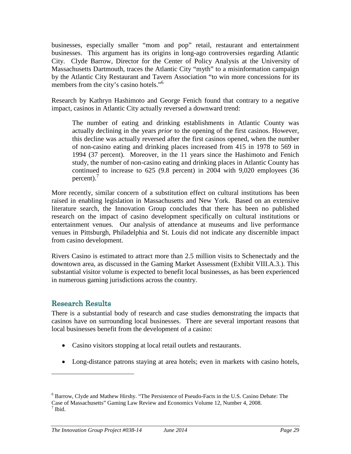businesses, especially smaller "mom and pop" retail, restaurant and entertainment businesses. This argument has its origins in long-ago controversies regarding Atlantic City. Clyde Barrow, Director for the Center of Policy Analysis at the University of Massachusetts Dartmouth, traces the Atlantic City "myth" to a misinformation campaign by the Atlantic City Restaurant and Tavern Association "to win more concessions for its members from the city's casino hotels."<sup>6</sup>

Research by Kathryn Hashimoto and George Fenich found that contrary to a negative impact, casinos in Atlantic City actually reversed a downward trend:

The number of eating and drinking establishments in Atlantic County was actually declining in the years *prior* to the opening of the first casinos. However, this decline was actually reversed after the first casinos opened, when the number of non-casino eating and drinking places increased from 415 in 1978 to 569 in 1994 (37 percent). Moreover, in the 11 years since the Hashimoto and Fenich study, the number of non-casino eating and drinking places in Atlantic County has continued to increase to 625 (9.8 percent) in 2004 with 9,020 employees (36 percent). $\frac{7}{2}$ 

More recently, similar concern of a substitution effect on cultural institutions has been raised in enabling legislation in Massachusetts and New York. Based on an extensive literature search, the Innovation Group concludes that there has been no published research on the impact of casino development specifically on cultural institutions or entertainment venues. Our analysis of attendance at museums and live performance venues in Pittsburgh, Philadelphia and St. Louis did not indicate any discernible impact from casino development.

Rivers Casino is estimated to attract more than 2.5 million visits to Schenectady and the downtown area, as discussed in the Gaming Market Assessment (Exhibit VIII.A.3.). This substantial visitor volume is expected to benefit local businesses, as has been experienced in numerous gaming jurisdictions across the country.

## Research Results

There is a substantial body of research and case studies demonstrating the impacts that casinos have on surrounding local businesses. There are several important reasons that local businesses benefit from the development of a casino:

- Casino visitors stopping at local retail outlets and restaurants.
- Long-distance patrons staying at area hotels; even in markets with casino hotels,

<sup>6</sup> Barrow, Clyde and Mathew Hirshy. "The Persistence of Pseudo-Facts in the U.S. Casino Debate: The Case of Massachusetts" Gaming Law Review and Economics Volume 12, Number 4, 2008.  $<sup>7</sup>$  Ibid.</sup>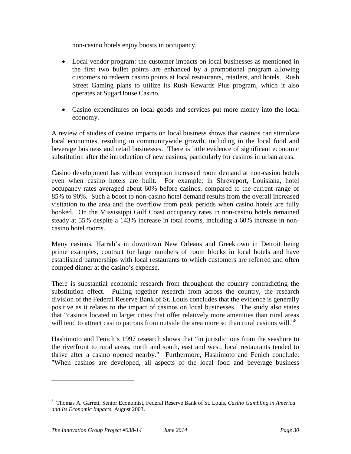non-casino hotels enjoy boosts in occupancy.

- Local vendor program: the customer impacts on local businesses as mentioned in the first two bullet points are enhanced by a promotional program allowing customers to redeem casino points at local restaurants, retailers, and hotels. Rush Street Gaming plans to utilize its Rush Rewards Plus program, which it also operates at SugarHouse Casino.
- Casino expenditures on local goods and services put more money into the local economy.

A review of studies of casino impacts on local business shows that casinos can stimulate local economies, resulting in communitywide growth, including in the local food and beverage business and retail businesses. There is little evidence of significant economic substitution after the introduction of new casinos, particularly for casinos in urban areas.

Casino development has without exception increased room demand at non-casino hotels even when casino hotels are built. For example, in Shreveport, Louisiana, hotel occupancy rates averaged about 60% before casinos, compared to the current range of 85% to 90%. Such a boost to non-casino hotel demand results from the overall increased visitation to the area and the overflow from peak periods when casino hotels are fully booked. On the Mississippi Gulf Coast occupancy rates in non-casino hotels remained steady at 55% despite a 143% increase in total rooms, including a 60% increase in noncasino hotel rooms.

Many casinos, Harrah's in downtown New Orleans and Greektown in Detroit being prime examples, contract for large numbers of room blocks in local hotels and have established partnerships with local restaurants to which customers are referred and often comped dinner at the casino's expense.

There is substantial economic research from throughout the country contradicting the substitution effect. Pulling together research from across the country, the research division of the Federal Reserve Bank of St. Louis concludes that the evidence is generally positive as it relates to the impact of casinos on local businesses. The study also states that "casinos located in larger cities that offer relatively more amenities than rural areas will tend to attract casino patrons from outside the area more so than rural casinos will."<sup>8</sup>

Hashimoto and Fenich's 1997 research shows that "in jurisdictions from the seashore to the riverfront to rural areas, north and south, east and west, local restaurants tended to thrive after a casino opened nearby." Furthermore, Hashimoto and Fenich conclude: "When casinos are developed, all aspects of the local food and beverage business

<sup>8</sup> Thomas A. Garrett, Senior Economist, Federal Reserve Bank of St. Louis, *Casino Gambling in America and Its Economic Impacts,* August 2003.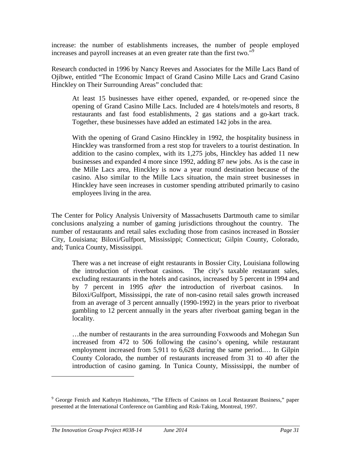increase: the number of establishments increases, the number of people employed increases and payroll increases at an even greater rate than the first two.<sup>n9</sup>

Research conducted in 1996 by Nancy Reeves and Associates for the Mille Lacs Band of Ojibwe, entitled "The Economic Impact of Grand Casino Mille Lacs and Grand Casino Hinckley on Their Surrounding Areas" concluded that:

At least 15 businesses have either opened, expanded, or re-opened since the opening of Grand Casino Mille Lacs. Included are 4 hotels/motels and resorts, 8 restaurants and fast food establishments, 2 gas stations and a go-kart track. Together, these businesses have added an estimated 142 jobs in the area.

With the opening of Grand Casino Hinckley in 1992, the hospitality business in Hinckley was transformed from a rest stop for travelers to a tourist destination. In addition to the casino complex, with its 1,275 jobs, Hinckley has added 11 new businesses and expanded 4 more since 1992, adding 87 new jobs. As is the case in the Mille Lacs area, Hinckley is now a year round destination because of the casino. Also similar to the Mille Lacs situation, the main street businesses in Hinckley have seen increases in customer spending attributed primarily to casino employees living in the area.

The Center for Policy Analysis University of Massachusetts Dartmouth came to similar conclusions analyzing a number of gaming jurisdictions throughout the country. The number of restaurants and retail sales excluding those from casinos increased in Bossier City, Louisiana; Biloxi/Gulfport, Mississippi; Connecticut; Gilpin County, Colorado, and; Tunica County, Mississippi.

There was a net increase of eight restaurants in Bossier City, Louisiana following the introduction of riverboat casinos. The city's taxable restaurant sales, excluding restaurants in the hotels and casinos, increased by 5 percent in 1994 and by 7 percent in 1995 *after* the introduction of riverboat casinos. In Biloxi/Gulfport, Mississippi, the rate of non-casino retail sales growth increased from an average of 3 percent annually (1990-1992) in the years prior to riverboat gambling to 12 percent annually in the years after riverboat gaming began in the locality.

…the number of restaurants in the area surrounding Foxwoods and Mohegan Sun increased from 472 to 506 following the casino's opening, while restaurant employment increased from 5,911 to 6,628 during the same period.… In Gilpin County Colorado, the number of restaurants increased from 31 to 40 after the introduction of casino gaming. In Tunica County, Mississippi, the number of

<sup>&</sup>lt;sup>9</sup> George Fenich and Kathryn Hashimoto, "The Effects of Casinos on Local Restaurant Business," paper presented at the International Conference on Gambling and Risk-Taking, Montreal, 1997.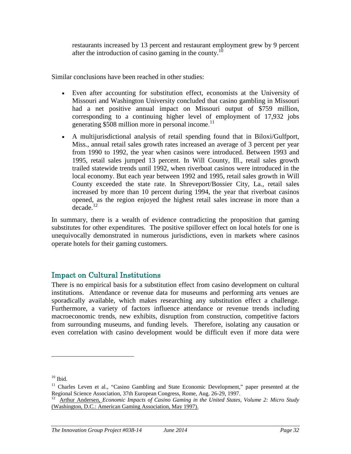restaurants increased by 13 percent and restaurant employment grew by 9 percent after the introduction of casino gaming in the county.<sup>10</sup>

Similar conclusions have been reached in other studies:

- Even after accounting for substitution effect, economists at the University of Missouri and Washington University concluded that casino gambling in Missouri had a net positive annual impact on Missouri output of \$759 million, corresponding to a continuing higher level of employment of 17,932 jobs generating \$508 million more in personal income.<sup>11</sup>
- A multijurisdictional analysis of retail spending found that in Biloxi/Gulfport, Miss., annual retail sales growth rates increased an average of 3 percent per year from 1990 to 1992, the year when casinos were introduced. Between 1993 and 1995, retail sales jumped 13 percent. In Will County, Ill., retail sales growth trailed statewide trends until 1992, when riverboat casinos were introduced in the local economy. But each year between 1992 and 1995, retail sales growth in Will County exceeded the state rate. In Shreveport/Bossier City, La., retail sales increased by more than 10 percent during 1994, the year that riverboat casinos opened, as the region enjoyed the highest retail sales increase in more than a  $de^{12}$

In summary, there is a wealth of evidence contradicting the proposition that gaming substitutes for other expenditures. The positive spillover effect on local hotels for one is unequivocally demonstrated in numerous jurisdictions, even in markets where casinos operate hotels for their gaming customers.

## Impact on Cultural Institutions

There is no empirical basis for a substitution effect from casino development on cultural institutions. Attendance or revenue data for museums and performing arts venues are sporadically available, which makes researching any substitution effect a challenge. Furthermore, a variety of factors influence attendance or revenue trends including macroeconomic trends, new exhibits, disruption from construction, competitive factors from surrounding museums, and funding levels. Therefore, isolating any causation or even correlation with casino development would be difficult even if more data were

 $10$  Ibid.

<sup>&</sup>lt;sup>11</sup> Charles Leven et al., "Casino Gambling and State Economic Development," paper presented at the Regional Science Association, 37th European Congress, Rome, Aug. 26-29, 1997.

<sup>12</sup> Arthur Andersen, *Economic Impacts of Casino Gaming in the United States, Volume 2: Micro Study* (Washington, D.C.: American Gaming Association, May 1997).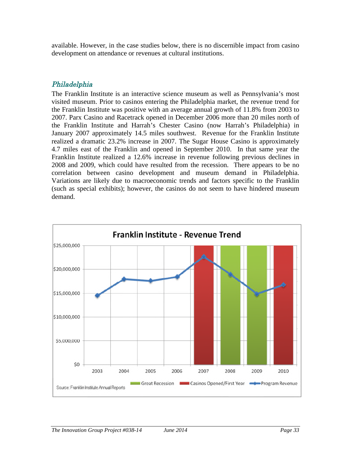available. However, in the case studies below, there is no discernible impact from casino development on attendance or revenues at cultural institutions.

### Philadelphia

The Franklin Institute is an interactive science museum as well as Pennsylvania's most visited museum. Prior to casinos entering the Philadelphia market, the revenue trend for the Franklin Institute was positive with an average annual growth of 11.8% from 2003 to 2007. Parx Casino and Racetrack opened in December 2006 more than 20 miles north of the Franklin Institute and Harrah's Chester Casino (now Harrah's Philadelphia) in January 2007 approximately 14.5 miles southwest. Revenue for the Franklin Institute realized a dramatic 23.2% increase in 2007. The Sugar House Casino is approximately 4.7 miles east of the Franklin and opened in September 2010. In that same year the Franklin Institute realized a 12.6% increase in revenue following previous declines in 2008 and 2009, which could have resulted from the recession. There appears to be no correlation between casino development and museum demand in Philadelphia. Variations are likely due to macroeconomic trends and factors specific to the Franklin (such as special exhibits); however, the casinos do not seem to have hindered museum demand.

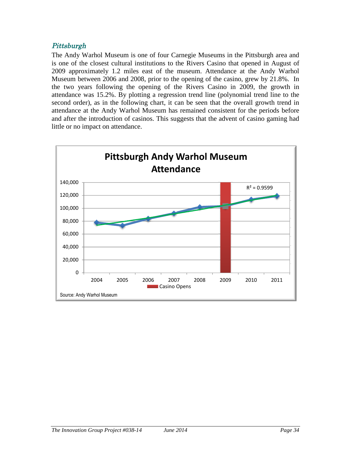### Pittsburgh

The Andy Warhol Museum is one of four Carnegie Museums in the Pittsburgh area and is one of the closest cultural institutions to the Rivers Casino that opened in August of 2009 approximately 1.2 miles east of the museum. Attendance at the Andy Warhol Museum between 2006 and 2008, prior to the opening of the casino, grew by 21.8%. In the two years following the opening of the Rivers Casino in 2009, the growth in attendance was 15.2%. By plotting a regression trend line (polynomial trend line to the second order), as in the following chart, it can be seen that the overall growth trend in attendance at the Andy Warhol Museum has remained consistent for the periods before and after the introduction of casinos. This suggests that the advent of casino gaming had little or no impact on attendance.

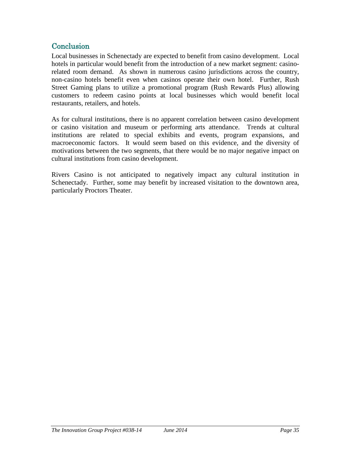# **Conclusion**

Local businesses in Schenectady are expected to benefit from casino development. Local hotels in particular would benefit from the introduction of a new market segment: casinorelated room demand. As shown in numerous casino jurisdictions across the country, non-casino hotels benefit even when casinos operate their own hotel. Further, Rush Street Gaming plans to utilize a promotional program (Rush Rewards Plus) allowing customers to redeem casino points at local businesses which would benefit local restaurants, retailers, and hotels.

As for cultural institutions, there is no apparent correlation between casino development or casino visitation and museum or performing arts attendance. Trends at cultural institutions are related to special exhibits and events, program expansions, and macroeconomic factors. It would seem based on this evidence, and the diversity of motivations between the two segments, that there would be no major negative impact on cultural institutions from casino development.

Rivers Casino is not anticipated to negatively impact any cultural institution in Schenectady. Further, some may benefit by increased visitation to the downtown area, particularly Proctors Theater.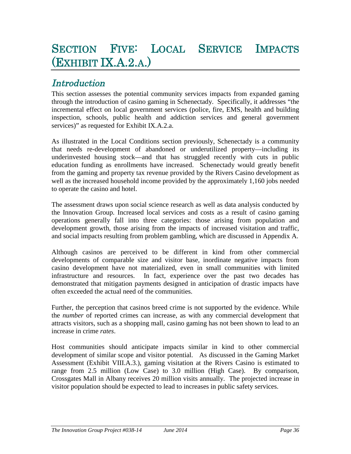# SECTION FIVE: LOCAL SERVICE IMPACTS (EXHIBIT IX.A.2.A.)

# **Introduction**

This section assesses the potential community services impacts from expanded gaming through the introduction of casino gaming in Schenectady. Specifically, it addresses "the incremental effect on local government services (police, fire, EMS, health and building inspection, schools, public health and addiction services and general government services)" as requested for Exhibit IX.A.2.a.

As illustrated in the Local Conditions section previously, Schenectady is a community that needs re-development of abandoned or underutilized property—including its underinvested housing stock—and that has struggled recently with cuts in public education funding as enrollments have increased. Schenectady would greatly benefit from the gaming and property tax revenue provided by the Rivers Casino development as well as the increased household income provided by the approximately 1,160 jobs needed to operate the casino and hotel.

The assessment draws upon social science research as well as data analysis conducted by the Innovation Group. Increased local services and costs as a result of casino gaming operations generally fall into three categories: those arising from population and development growth, those arising from the impacts of increased visitation and traffic, and social impacts resulting from problem gambling, which are discussed in Appendix A.

Although casinos are perceived to be different in kind from other commercial developments of comparable size and visitor base, inordinate negative impacts from casino development have not materialized, even in small communities with limited infrastructure and resources. In fact, experience over the past two decades has demonstrated that mitigation payments designed in anticipation of drastic impacts have often exceeded the actual need of the communities.

Further, the perception that casinos breed crime is not supported by the evidence. While the *number* of reported crimes can increase, as with any commercial development that attracts visitors, such as a shopping mall, casino gaming has not been shown to lead to an increase in crime *rates*.

Host communities should anticipate impacts similar in kind to other commercial development of similar scope and visitor potential. As discussed in the Gaming Market Assessment (Exhibit VIII.A.3.), gaming visitation at the Rivers Casino is estimated to range from 2.5 million (Low Case) to 3.0 million (High Case). By comparison, Crossgates Mall in Albany receives 20 million visits annually. The projected increase in visitor population should be expected to lead to increases in public safety services.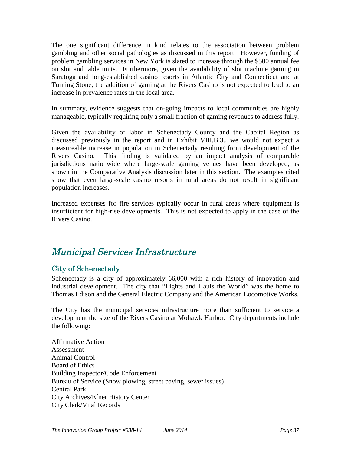The one significant difference in kind relates to the association between problem gambling and other social pathologies as discussed in this report. However, funding of problem gambling services in New York is slated to increase through the \$500 annual fee on slot and table units. Furthermore, given the availability of slot machine gaming in Saratoga and long-established casino resorts in Atlantic City and Connecticut and at Turning Stone, the addition of gaming at the Rivers Casino is not expected to lead to an increase in prevalence rates in the local area.

In summary, evidence suggests that on-going impacts to local communities are highly manageable, typically requiring only a small fraction of gaming revenues to address fully.

Given the availability of labor in Schenectady County and the Capital Region as discussed previously in the report and in Exhibit VIII.B.3., we would not expect a measureable increase in population in Schenectady resulting from development of the Rivers Casino. This finding is validated by an impact analysis of comparable jurisdictions nationwide where large-scale gaming venues have been developed, as shown in the Comparative Analysis discussion later in this section. The examples cited show that even large-scale casino resorts in rural areas do not result in significant population increases.

Increased expenses for fire services typically occur in rural areas where equipment is insufficient for high-rise developments. This is not expected to apply in the case of the Rivers Casino.

# Municipal Services Infrastructure

# City of Schenectady

Schenectady is a city of approximately 66,000 with a rich history of innovation and industrial development. The city that "Lights and Hauls the World" was the home to Thomas Edison and the General Electric Company and the American Locomotive Works.

The City has the municipal services infrastructure more than sufficient to service a development the size of the Rivers Casino at Mohawk Harbor. City departments include the following:

Affirmative Action Assessment Animal Control Board of Ethics Building Inspector/Code Enforcement Bureau of Service (Snow plowing, street paving, sewer issues) Central Park City Archives/Efner History Center City Clerk/Vital Records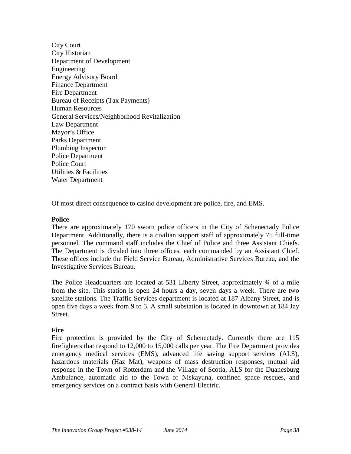City Court City Historian Department of Development Engineering Energy Advisory Board Finance Department Fire Department Bureau of Receipts (Tax Payments) Human Resources General Services/Neighborhood Revitalization Law Department Mayor's Office Parks Department Plumbing Inspector Police Department Police Court Utilities & Facilities Water Department

Of most direct consequence to casino development are police, fire, and EMS.

#### **Police**

There are approximately 170 sworn police officers in the City of Schenectady Police Department. Additionally, there is a civilian support staff of approximately 75 full-time personnel. The command staff includes the Chief of Police and three Assistant Chiefs. The Department is divided into three offices, each commanded by an Assistant Chief. These offices include the Field Service Bureau, Administrative Services Bureau, and the Investigative Services Bureau.

The Police Headquarters are located at 531 Liberty Street, approximately  $\frac{3}{4}$  of a mile from the site. This station is open 24 hours a day, seven days a week. There are two satellite stations. The Traffic Services department is located at 187 Albany Street, and is open five days a week from 9 to 5. A small substation is located in downtown at 184 Jay Street.

#### **Fire**

Fire protection is provided by the City of Schenectady. Currently there are 115 firefighters that respond to 12,000 to 15,000 calls per year. The Fire Department provides emergency medical services (EMS), advanced life saving support services (ALS), hazardous materials (Haz Mat), weapons of mass destruction responses, mutual aid response in the Town of Rotterdam and the Village of Scotia, ALS for the Duanesburg Ambulance, automatic aid to the Town of Niskayuna, confined space rescues, and emergency services on a contract basis with General Electric.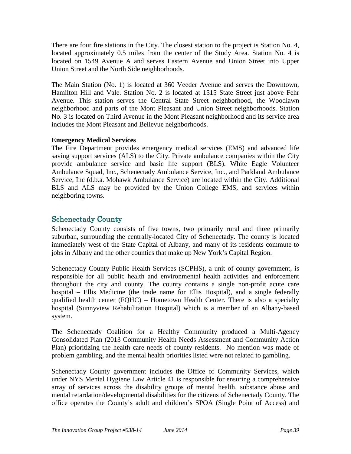There are four fire stations in the City. The closest station to the project is Station No. 4, located approximately 0.5 miles from the center of the Study Area. Station No. 4 is located on 1549 Avenue A and serves Eastern Avenue and Union Street into Upper Union Street and the North Side neighborhoods.

The Main Station (No. 1) is located at 360 Veeder Avenue and serves the Downtown, Hamilton Hill and Vale. Station No. 2 is located at 1515 State Street just above Fehr Avenue. This station serves the Central State Street neighborhood, the Woodlawn neighborhood and parts of the Mont Pleasant and Union Street neighborhoods. Station No. 3 is located on Third Avenue in the Mont Pleasant neighborhood and its service area includes the Mont Pleasant and Bellevue neighborhoods.

### **Emergency Medical Services**

The Fire Department provides emergency medical services (EMS) and advanced life saving support services (ALS) to the City. Private ambulance companies within the City provide ambulance service and basic life support (BLS). White Eagle Volunteer Ambulance Squad, Inc., Schenectady Ambulance Service, Inc., and Parkland Ambulance Service, Inc (d.b.a. Mohawk Ambulance Service) are located within the City. Additional BLS and ALS may be provided by the Union College EMS, and services within neighboring towns.

# Schenectady County

Schenectady County consists of five towns, two primarily rural and three primarily suburban, surrounding the centrally-located City of Schenectady. The county is located immediately west of the State Capital of Albany, and many of its residents commute to jobs in Albany and the other counties that make up New York's Capital Region.

Schenectady County Public Health Services (SCPHS), a unit of county government, is responsible for all public health and environmental health activities and enforcement throughout the city and county. The county contains a single non-profit acute care hospital – Ellis Medicine (the trade name for Ellis Hospital), and a single federally qualified health center (FQHC) – Hometown Health Center. There is also a specialty hospital (Sunnyview Rehabilitation Hospital) which is a member of an Albany-based system.

The Schenectady Coalition for a Healthy Community produced a Multi-Agency Consolidated Plan (2013 Community Health Needs Assessment and Community Action Plan) prioritizing the health care needs of county residents. No mention was made of problem gambling, and the mental health priorities listed were not related to gambling.

Schenectady County government includes the Office of Community Services, which under NYS Mental Hygiene Law Article 41 is responsible for ensuring a comprehensive array of services across the disability groups of mental health, substance abuse and mental retardation/developmental disabilities for the citizens of Schenectady County. The office operates the County's adult and children's SPOA (Single Point of Access) and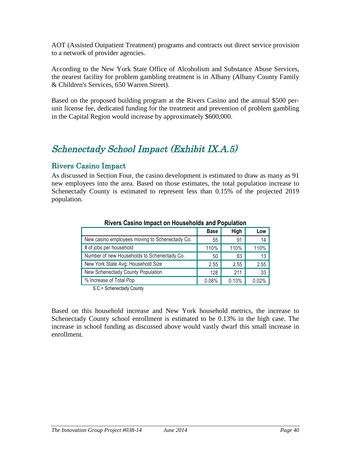AOT (Assisted Outpatient Treatment) programs and contracts out direct service provision to a network of provider agencies.

According to the New York State Office of Alcoholism and Substance Abuse Services, the nearest facility for problem gambling treatment is in Albany (Albany County Family & Children's Services, 650 Warren Street).

Based on the proposed building program at the Rivers Casino and the annual \$500 perunit license fee, dedicated funding for the treatment and prevention of problem gambling in the Capital Region would increase by approximately \$600,000.

# Schenectady School Impact (Exhibit IX.A.5)

# Rivers Casino Impact

As discussed in Section Four, the casino development is estimated to draw as many as 91 new employees into the area. Based on those estimates, the total population increase to Schenectady County is estimated to represent less than 0.15% of the projected 2019 population.

|                                                | <b>Base</b> | High  | Low   |  |  |
|------------------------------------------------|-------------|-------|-------|--|--|
| New casino employees moving to Schenectady Co. | 55          | 91    | 14    |  |  |
| # of jobs per household                        | 110%        | 110%  | 110%  |  |  |
| Number of new Households to Schenectady Co.    | 50          | 83    | 13    |  |  |
| New York State Avg. Household Size             | 2.55        | 2.55  | 2.55  |  |  |
| New Schenectady County Population              | 128         | 211   | 33    |  |  |
| % Increase of Total Pop                        | 0.08%       | 0.13% | 0.02% |  |  |

#### **Rivers Casino Impact on Households and Population**

S.C.= Schenectady County

Based on this household increase and New York household metrics, the increase to Schenectady County school enrollment is estimated to be 0.13% in the high case. The increase in school funding as discussed above would vastly dwarf this small increase in enrollment.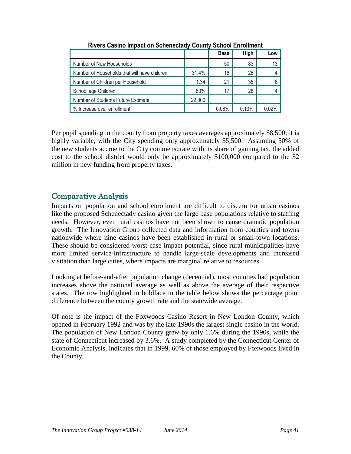|                                              |        | <b>Base</b> | High  | Low   |
|----------------------------------------------|--------|-------------|-------|-------|
| Number of New Households                     |        | 50          | 83    | 13    |
| Number of Households that will have children | 31.4%  | 16          | 26    |       |
| Number of Children per Household             | 1.34   | 21          | 35    | 6     |
| School age Children                          | 80%    | 17          | 28    |       |
| Number of Students Future Estimate           | 22,000 |             |       |       |
| % Increase over enrollment                   |        | 0.08%       | 0.13% | በ በ2% |

**Rivers Casino Impact on Schenectady County School Enrollment**

Per pupil spending in the county from property taxes averages approximately \$8,500; it is highly variable, with the City spending only approximately \$5,500. Assuming 50% of the new students accrue to the City commensurate with its share of gaming tax, the added cost to the school district would only be approximately \$100,000 compared to the \$2 million in new funding from property taxes.

# Comparative Analysis

Impacts on population and school enrollment are difficult to discern for urban casinos like the proposed Schenectady casino given the large base populations relative to staffing needs. However, even rural casinos have not been shown to cause dramatic population growth. The Innovation Group collected data and information from counties and towns nationwide where nine casinos have been established in rural or small-town locations. These should be considered worst-case impact potential, since rural municipalities have more limited service-infrastructure to handle large-scale developments and increased visitation than large cities, where impacts are marginal relative to resources.

Looking at before-and-after population change (decennial), most counties had population increases above the national average as well as above the average of their respective states. The row highlighted in boldface in the table below shows the percentage point difference between the county growth rate and the statewide average.

Of note is the impact of the Foxwoods Casino Resort in New London County, which opened in February 1992 and was by the late 1990s the largest single casino in the world. The population of New London County grew by only 1.6% during the 1990s, while the state of Connecticut increased by 3.6%. A study completed by the Connecticut Center of Economic Analysis, indicates that in 1999, 60% of those employed by Foxwoods lived in the County.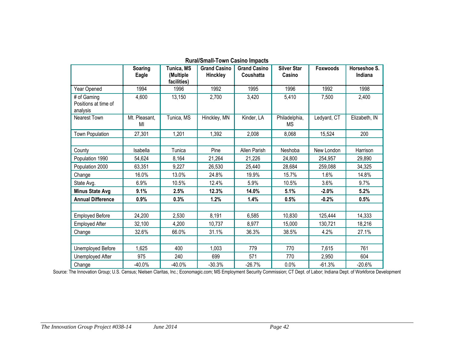|                                                 | Soaring<br>Eagle    | Tunica, MS<br>(Multiple<br>facilities) | <b>Grand Casino</b><br><b>Hinckley</b> | <b>Grand Casino</b><br>Coushatta | <b>Silver Star</b><br>Casino | <b>Foxwoods</b> | Horseshoe S.<br>Indiana |
|-------------------------------------------------|---------------------|----------------------------------------|----------------------------------------|----------------------------------|------------------------------|-----------------|-------------------------|
| Year Opened                                     | 1994                | 1996                                   | 1992                                   | 1995                             | 1996                         | 1992            | 1998                    |
| # of Gaming<br>Positions at time of<br>analysis | 4,600               | 13,150                                 | 2,700                                  | 3,420                            | 5,410                        | 7,500           | 2,400                   |
| <b>Nearest Town</b>                             | Mt. Pleasant,<br>MI | Tunica, MS                             | Hinckley, MN                           | Kinder, LA                       | Philadelphia,<br><b>MS</b>   | Ledyard, CT     | Elizabeth, IN           |
| <b>Town Population</b>                          | 27,301              | 1,201                                  | 1,392                                  | 2,008                            | 8,068                        | 15,524          | 200                     |
|                                                 |                     |                                        |                                        |                                  |                              |                 |                         |
| County                                          | Isabella            | Tunica                                 | Pine                                   | Allen Parish                     | Neshoba                      | New London      | Harrison                |
| Population 1990                                 | 54,624              | 8,164                                  | 21,264                                 | 21,226                           | 24,800                       | 254,957         | 29,890                  |
| Population 2000                                 | 63,351              | 9,227                                  | 26,530                                 | 25,440                           | 28,684                       | 259,088         | 34,325                  |
| Change                                          | 16.0%               | 13.0%                                  | 24.8%                                  | 19.9%                            | 15.7%                        | 1.6%            | 14.8%                   |
| State Avg.                                      | 6.9%                | 10.5%                                  | 12.4%                                  | 5.9%                             | 10.5%                        | 3.6%            | 9.7%                    |
| <b>Minus State Avg</b>                          | 9.1%                | 2.5%                                   | 12.3%                                  | 14.0%                            | 5.1%                         | $-2.0%$         | 5.2%                    |
| <b>Annual Difference</b>                        | 0.9%                | 0.3%                                   | 1.2%                                   | 1.4%                             | 0.5%                         | $-0.2%$         | 0.5%                    |
|                                                 |                     |                                        |                                        |                                  |                              |                 |                         |
| <b>Employed Before</b>                          | 24,200              | 2,530                                  | 8,191                                  | 6,585                            | 10,830                       | 125,444         | 14,333                  |
| <b>Employed After</b>                           | 32,100              | 4,200                                  | 10,737                                 | 8,977                            | 15,000                       | 130,721         | 18,216                  |
| Change                                          | 32.6%               | 66.0%                                  | 31.1%                                  | 36.3%                            | 38.5%                        | 4.2%            | 27.1%                   |
|                                                 |                     |                                        |                                        |                                  |                              |                 |                         |
| Unemployed Before                               | 1,625               | 400                                    | 1,003                                  | 779                              | 770                          | 7,615           | 761                     |
| Unemployed After                                | 975                 | 240                                    | 699                                    | 571                              | 770                          | 2,950           | 604                     |
| Change                                          | $-40.0%$            | $-40.0%$                               | $-30.3%$                               | $-26.7%$                         | 0.0%                         | $-61.3%$        | $-20.6%$                |

**Rural/Small-Town Casino Impacts**

Source: The Innovation Group; U.S. Census; Nielsen Claritas, Inc.; Economagic.com; MS Employment Security Commission; CT Dept. of Labor; Indiana Dept. of Workforce Development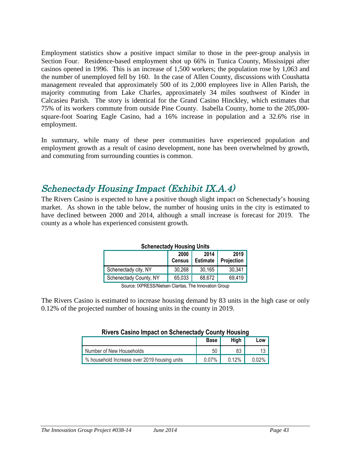Employment statistics show a positive impact similar to those in the peer-group analysis in Section Four. Residence-based employment shot up 66% in Tunica County, Mississippi after casinos opened in 1996. This is an increase of 1,500 workers; the population rose by 1,063 and the number of unemployed fell by 160. In the case of Allen County, discussions with Coushatta management revealed that approximately 500 of its 2,000 employees live in Allen Parish, the majority commuting from Lake Charles, approximately 34 miles southwest of Kinder in Calcasieu Parish. The story is identical for the Grand Casino Hinckley, which estimates that 75% of its workers commute from outside Pine County. Isabella County, home to the 205,000 square-foot Soaring Eagle Casino, had a 16% increase in population and a 32.6% rise in employment.

In summary, while many of these peer communities have experienced population and employment growth as a result of casino development, none has been overwhelmed by growth, and commuting from surrounding counties is common.

# Schenectady Housing Impact (Exhibit IX.A.4)

The Rivers Casino is expected to have a positive though slight impact on Schenectady's housing market. As shown in the table below, the number of housing units in the city is estimated to have declined between 2000 and 2014, although a small increase is forecast for 2019. The county as a whole has experienced consistent growth.

| <b>Schenectady Housing Units</b>                                       |        |        |  |  |  |  |
|------------------------------------------------------------------------|--------|--------|--|--|--|--|
| 2019<br>2014<br>2000<br><b>Census</b><br>Projection<br><b>Estimate</b> |        |        |  |  |  |  |
| 30,268                                                                 | 30,165 | 30,341 |  |  |  |  |
| 68,672<br>65,033<br>69,419<br>Schenectady County, NY                   |        |        |  |  |  |  |
|                                                                        | _ _ _  |        |  |  |  |  |

#### **Schenectady Housing Units**

Source: IXPRESS/Nielsen Claritas, The Innovation Group

The Rivers Casino is estimated to increase housing demand by 83 units in the high case or only 0.12% of the projected number of housing units in the county in 2019.

#### **Rivers Casino Impact on Schenectady County Housing**

|                                              | <b>Base</b> | Hiah  | Low      |
|----------------------------------------------|-------------|-------|----------|
| Number of New Households                     | 50          | 83    |          |
| % household Increase over 2019 housing units | $0.07\%$    | 0.12% | $0.02\%$ |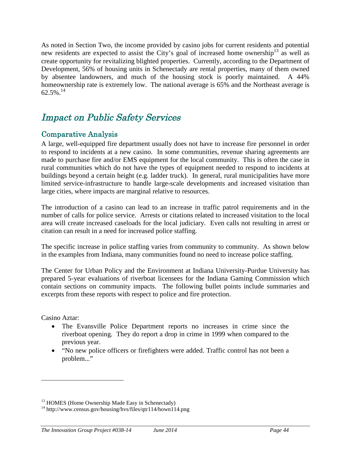As noted in Section Two, the income provided by casino jobs for current residents and potential new residents are expected to assist the City's goal of increased home ownership<sup>13</sup> as well as create opportunity for revitalizing blighted properties. Currently, according to the Department of Development, 56% of housing units in Schenectady are rental properties, many of them owned by absentee landowners, and much of the housing stock is poorly maintained. A 44% homeownership rate is extremely low. The national average is 65% and the Northeast average is  $62.5\%$ <sup>14</sup>

# Impact on Public Safety Services

# Comparative Analysis

A large, well-equipped fire department usually does not have to increase fire personnel in order to respond to incidents at a new casino. In some communities, revenue sharing agreements are made to purchase fire and/or EMS equipment for the local community. This is often the case in rural communities which do not have the types of equipment needed to respond to incidents at buildings beyond a certain height (e.g. ladder truck). In general, rural municipalities have more limited service-infrastructure to handle large-scale developments and increased visitation than large cities, where impacts are marginal relative to resources.

The introduction of a casino can lead to an increase in traffic patrol requirements and in the number of calls for police service. Arrests or citations related to increased visitation to the local area will create increased caseloads for the local judiciary. Even calls not resulting in arrest or citation can result in a need for increased police staffing.

The specific increase in police staffing varies from community to community. As shown below in the examples from Indiana, many communities found no need to increase police staffing.

The Center for Urban Policy and the Environment at Indiana University-Purdue University has prepared 5-year evaluations of riverboat licensees for the Indiana Gaming Commission which contain sections on community impacts. The following bullet points include summaries and excerpts from these reports with respect to police and fire protection.

Casino Aztar:

- The Evansville Police Department reports no increases in crime since the riverboat opening. They do report a drop in crime in 1999 when compared to the previous year.
- "No new police officers or firefighters were added. Traffic control has not been a problem..."

<sup>&</sup>lt;sup>13</sup> HOMES (Home Ownership Made Easy in Schenectady)

<sup>&</sup>lt;sup>14</sup> http://www.census.gov/housing/hvs/files/qtr114/hown114.png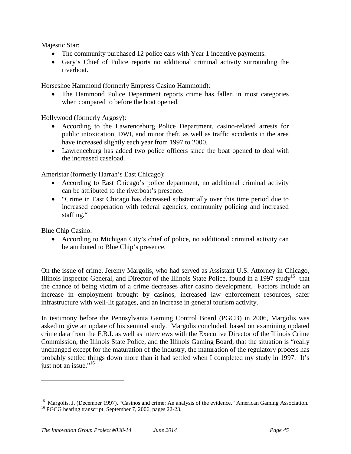Majestic Star:

- The community purchased 12 police cars with Year 1 incentive payments.
- Gary's Chief of Police reports no additional criminal activity surrounding the riverboat.

Horseshoe Hammond (formerly Empress Casino Hammond):

• The Hammond Police Department reports crime has fallen in most categories when compared to before the boat opened.

Hollywood (formerly Argosy):

- According to the Lawrenceburg Police Department, casino-related arrests for public intoxication, DWI, and minor theft, as well as traffic accidents in the area have increased slightly each year from 1997 to 2000.
- Lawrenceburg has added two police officers since the boat opened to deal with the increased caseload.

Ameristar (formerly Harrah's East Chicago):

- According to East Chicago's police department, no additional criminal activity can be attributed to the riverboat's presence.
- "Crime in East Chicago has decreased substantially over this time period due to increased cooperation with federal agencies, community policing and increased staffing."

Blue Chip Casino:

 According to Michigan City's chief of police, no additional criminal activity can be attributed to Blue Chip's presence.

On the issue of crime, Jeremy Margolis, who had served as Assistant U.S. Attorney in Chicago, Illinois Inspector General, and Director of the Illinois State Police, found in a 1997 study<sup>15</sup> that the chance of being victim of a crime decreases after casino development. Factors include an increase in employment brought by casinos, increased law enforcement resources, safer infrastructure with well-lit garages, and an increase in general tourism activity.

In testimony before the Pennsylvania Gaming Control Board (PGCB) in 2006, Margolis was asked to give an update of his seminal study. Margolis concluded, based on examining updated crime data from the F.B.I. as well as interviews with the Executive Director of the Illinois Crime Commission, the Illinois State Police, and the Illinois Gaming Board, that the situation is "really unchanged except for the maturation of the industry, the maturation of the regulatory process has probably settled things down more than it had settled when I completed my study in 1997. It's just not an issue."<sup>16</sup>

<sup>&</sup>lt;sup>15</sup> Margolis, J. (December 1997). "Casinos and crime: An analysis of the evidence." American Gaming Association. <sup>16</sup> PGCG hearing transcript, September 7, 2006, pages 22-23.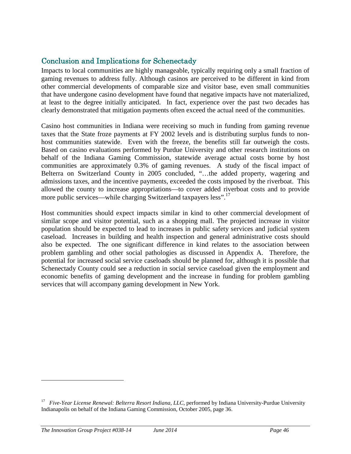# Conclusion and Implications for Schenectady

Impacts to local communities are highly manageable, typically requiring only a small fraction of gaming revenues to address fully. Although casinos are perceived to be different in kind from other commercial developments of comparable size and visitor base, even small communities that have undergone casino development have found that negative impacts have not materialized, at least to the degree initially anticipated. In fact, experience over the past two decades has clearly demonstrated that mitigation payments often exceed the actual need of the communities.

Casino host communities in Indiana were receiving so much in funding from gaming revenue taxes that the State froze payments at FY 2002 levels and is distributing surplus funds to nonhost communities statewide. Even with the freeze, the benefits still far outweigh the costs. Based on casino evaluations performed by Purdue University and other research institutions on behalf of the Indiana Gaming Commission, statewide average actual costs borne by host communities are approximately 0.3% of gaming revenues. A study of the fiscal impact of Belterra on Switzerland County in 2005 concluded, "…the added property, wagering and admissions taxes, and the incentive payments, exceeded the costs imposed by the riverboat. This allowed the county to increase appropriations—to cover added riverboat costs and to provide more public services—while charging Switzerland taxpayers less".<sup>17</sup>

Host communities should expect impacts similar in kind to other commercial development of similar scope and visitor potential, such as a shopping mall. The projected increase in visitor population should be expected to lead to increases in public safety services and judicial system caseload. Increases in building and health inspection and general administrative costs should also be expected. The one significant difference in kind relates to the association between problem gambling and other social pathologies as discussed in Appendix A. Therefore, the potential for increased social service caseloads should be planned for, although it is possible that Schenectady County could see a reduction in social service caseload given the employment and economic benefits of gaming development and the increase in funding for problem gambling services that will accompany gaming development in New York.

<sup>17</sup> *Five-Year License Renewal: Belterra Resort Indiana, LLC*, performed by Indiana University-Purdue University Indianapolis on behalf of the Indiana Gaming Commission, October 2005, page 36.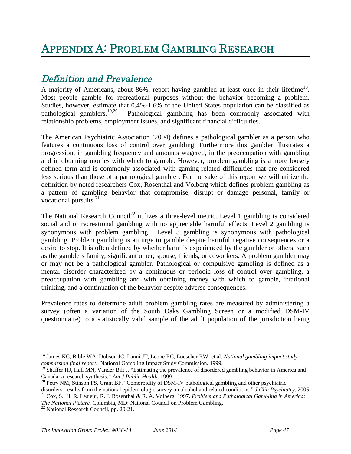# Definition and Prevalence

A majority of Americans, about 86%, report having gambled at least once in their lifetime<sup>18</sup>. Most people gamble for recreational purposes without the behavior becoming a problem. Studies, however, estimate that 0.4%-1.6% of the United States population can be classified as pathological gamblers.<sup>19,20</sup> Pathological gambling has been commonly associated with Pathological gambling has been commonly associated with relationship problems, employment issues, and significant financial difficulties.

The American Psychiatric Association (2004) defines a pathological gambler as a person who features a continuous loss of control over gambling. Furthermore this gambler illustrates a progression, in gambling frequency and amounts wagered, in the preoccupation with gambling and in obtaining monies with which to gamble. However, problem gambling is a more loosely defined term and is commonly associated with gaming-related difficulties that are considered less serious than those of a pathological gambler. For the sake of this report we will utilize the definition by noted researchers Cox, Rosenthal and Volberg which defines problem gambling as a pattern of gambling behavior that compromise, disrupt or damage personal, family or vocational pursuits.<sup>21</sup>

The National Research Council<sup>22</sup> utilizes a three-level metric. Level 1 gambling is considered social and or recreational gambling with no appreciable harmful effects. Level 2 gambling is synonymous with problem gambling. Level 3 gambling is synonymous with pathological gambling. Problem gambling is an urge to gamble despite harmful negative consequences or a desire to stop. It is often defined by whether harm is experienced by the gambler or others, such as the gamblers family, significant other, spouse, friends, or coworkers. A problem gambler may or may not be a pathological gambler. Pathological or compulsive gambling is defined as a mental disorder characterized by a continuous or periodic loss of control over gambling, a preoccupation with gambling and with obtaining money with which to gamble, irrational thinking, and a continuation of the behavior despite adverse consequences.

Prevalence rates to determine adult problem gambling rates are measured by administering a survey (often a variation of the South Oaks Gambling Screen or a modified DSM-IV questionnaire) to a statistically valid sample of the adult population of the jurisdiction being

<sup>18</sup> James KC, Bible WA, Dobson JC, Lanni JT, Leone RC, Loescher RW, et al. *National gambling impact study commission final report*. National Gambling Impact Study Commission. 1999.

 $19$  Shaffer HJ, Hall MN, Vander Bilt J. "Estimating the prevalence of disordered gambling behavior in America and Canada: a research synthesis." *Am J Public Health*. 1999

<sup>&</sup>lt;sup>20</sup> Petry NM, Stinson FS, Grant BF. "Comorbidity of DSM-IV pathological gambling and other psychiatric

disorders: results from the national epidemiologic survey on alcohol and related conditions." *J Clin Psychiatry*. 2005 <sup>21</sup> Cox, S., H. R. Lesieur, R. J. Rosenthal & R. A. Volberg. 1997. *Problem and Pathological Gambling in America: The National Picture.* Columbia, MD: National Council on Problem Gambling.

<sup>&</sup>lt;sup>22</sup> National Research Council, pp. 20-21.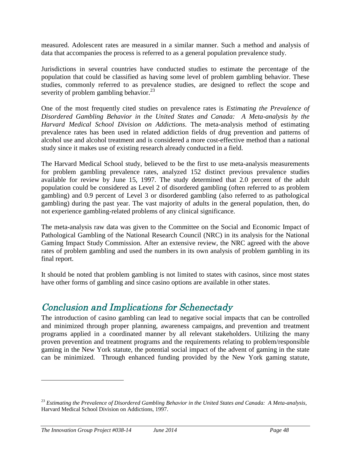measured. Adolescent rates are measured in a similar manner. Such a method and analysis of data that accompanies the process is referred to as a general population prevalence study.

Jurisdictions in several countries have conducted studies to estimate the percentage of the population that could be classified as having some level of problem gambling behavior. These studies, commonly referred to as prevalence studies, are designed to reflect the scope and severity of problem gambling behavior. $^{23}$ 

One of the most frequently cited studies on prevalence rates is *Estimating the Prevalence of Disordered Gambling Behavior in the United States and Canada: A Meta-analysis by the Harvard Medical School Division on Addictions*. The meta-analysis method of estimating prevalence rates has been used in related addiction fields of drug prevention and patterns of alcohol use and alcohol treatment and is considered a more cost-effective method than a national study since it makes use of existing research already conducted in a field.

The Harvard Medical School study, believed to be the first to use meta-analysis measurements for problem gambling prevalence rates, analyzed 152 distinct previous prevalence studies available for review by June 15, 1997. The study determined that 2.0 percent of the adult population could be considered as Level 2 of disordered gambling (often referred to as problem gambling) and 0.9 percent of Level 3 or disordered gambling (also referred to as pathological gambling) during the past year. The vast majority of adults in the general population, then, do not experience gambling-related problems of any clinical significance.

The meta-analysis raw data was given to the Committee on the Social and Economic Impact of Pathological Gambling of the National Research Council (NRC) in its analysis for the National Gaming Impact Study Commission. After an extensive review, the NRC agreed with the above rates of problem gambling and used the numbers in its own analysis of problem gambling in its final report.

It should be noted that problem gambling is not limited to states with casinos, since most states have other forms of gambling and since casino options are available in other states.

# Conclusion and Implications for Schenectady

The introduction of casino gambling can lead to negative social impacts that can be controlled and minimized through proper planning, awareness campaigns, and prevention and treatment programs applied in a coordinated manner by all relevant stakeholders. Utilizing the many proven prevention and treatment programs and the requirements relating to problem/responsible gaming in the New York statute, the potential social impact of the advent of gaming in the state can be minimized. Through enhanced funding provided by the New York gaming statute,

<sup>23</sup> *Estimating the Prevalence of Disordered Gambling Behavior in the United States and Canada: A Meta-analysis*, Harvard Medical School Division on Addictions, 1997.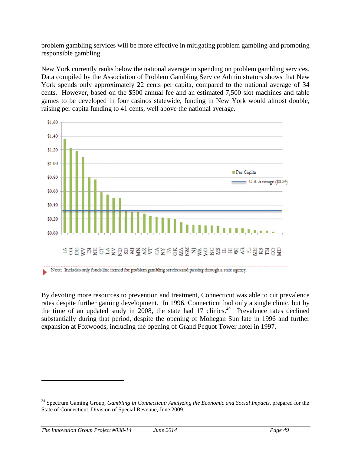problem gambling services will be more effective in mitigating problem gambling and promoting responsible gambling.

New York currently ranks below the national average in spending on problem gambling services. Data compiled by the Association of Problem Gambling Service Administrators shows that New York spends only approximately 22 cents per capita, compared to the national average of 34 cents. However, based on the \$500 annual fee and an estimated 7,500 slot machines and table games to be developed in four casinos statewide, funding in New York would almost double, raising per capita funding to 41 cents, well above the national average.



By devoting more resources to prevention and treatment, Connecticut was able to cut prevalence rates despite further gaming development. In 1996, Connecticut had only a single clinic, but by the time of an updated study in 2008, the state had  $17 \text{ chincs}^{24}$  Prevalence rates declined substantially during that period, despite the opening of Mohegan Sun late in 1996 and further expansion at Foxwoods, including the opening of Grand Pequot Tower hotel in 1997.

<sup>&</sup>lt;sup>24</sup> Spectrum Gaming Group, *Gambling in Connecticut: Analyzing the Economic and Social Impacts*, prepared for the State of Connecticut, Division of Special Revenue, June 2009.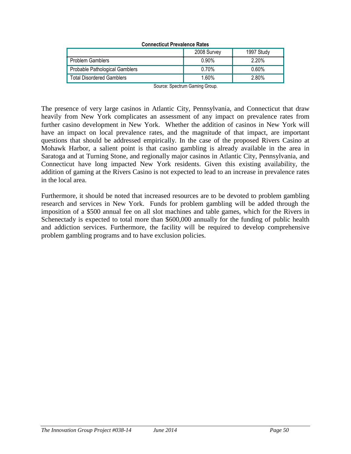| Connecticut Prevalence Rates     |             |            |  |  |  |
|----------------------------------|-------------|------------|--|--|--|
|                                  | 2008 Survey | 1997 Study |  |  |  |
| <b>Problem Gamblers</b>          | 0.90%       | 2.20%      |  |  |  |
| Probable Pathological Gamblers   | 0.70%       | $0.60\%$   |  |  |  |
| <b>Total Disordered Gamblers</b> | 1.60%       | 2.80%      |  |  |  |

**Connecticut Prevalence Rates**

Source: Spectrum Gaming Group.

The presence of very large casinos in Atlantic City, Pennsylvania, and Connecticut that draw heavily from New York complicates an assessment of any impact on prevalence rates from further casino development in New York. Whether the addition of casinos in New York will have an impact on local prevalence rates, and the magnitude of that impact, are important questions that should be addressed empirically. In the case of the proposed Rivers Casino at Mohawk Harbor, a salient point is that casino gambling is already available in the area in Saratoga and at Turning Stone, and regionally major casinos in Atlantic City, Pennsylvania, and Connecticut have long impacted New York residents. Given this existing availability, the addition of gaming at the Rivers Casino is not expected to lead to an increase in prevalence rates in the local area.

Furthermore, it should be noted that increased resources are to be devoted to problem gambling research and services in New York. Funds for problem gambling will be added through the imposition of a \$500 annual fee on all slot machines and table games, which for the Rivers in Schenectady is expected to total more than \$600,000 annually for the funding of public health and addiction services. Furthermore, the facility will be required to develop comprehensive problem gambling programs and to have exclusion policies.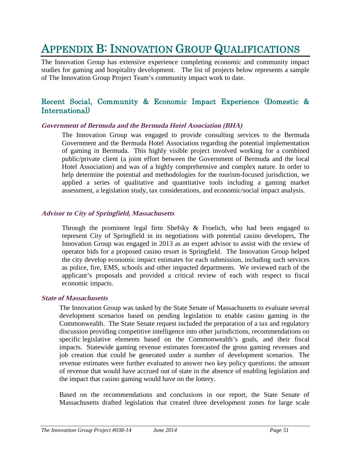# APPENDIX B: INNOVATION GROUP QUALIFICATIONS

The Innovation Group has extensive experience completing economic and community impact studies for gaming and hospitality development. The list of projects below represents a sample of The Innovation Group Project Team's community impact work to date.

## Recent Social, Community & Economic Impact Experience (Domestic & International)

#### **Government of Bermuda and the Bermuda Hotel Association (BHA)**

The Innovation Group was engaged to provide consulting services to the Bermuda Government and the Bermuda Hotel Association regarding the potential implementation of gaming in Bermuda. This highly visible project involved working for a combined public/private client (a joint effort between the Government of Bermuda and the local Hotel Association) and was of a highly comprehensive and complex nature. In order to help determine the potential and methodologies for the tourism-focused jurisdiction, we applied a series of qualitative and quantitative tools including a gaming market assessment, a legislation study, tax considerations, and economic/social impact analysis.

#### **Advisor to City of Springfield, Massachusetts**

Through the prominent legal firm Shefsky & Froelich, who had been engaged to represent City of Springfield in its negotiations with potential casino developers, The Innovation Group was engaged in 2013 as an expert advisor to assist with the review of operator bids for a proposed casino resort in Springfield. The Innovation Group helped the city develop economic impact estimates for each submission, including such services as police, fire, EMS, schools and other impacted departments. We reviewed each of the applicant's proposals and provided a critical review of each with respect to fiscal economic impacts.

#### **State of Massachusetts**

The Innovation Group was tasked by the State Senate of Massachusetts to evaluate several development scenarios based on pending legislation to enable casino gaming in the Commonwealth. The State Senate request included the preparation of a tax and regulatory discussion providing competitive intelligence into other jurisdictions, recommendations on specific legislative elements based on the Commonwealth's goals, and their fiscal impacts. Statewide gaming revenue estimates forecasted the gross gaming revenues and job creation that could be generated under a number of development scenarios. The revenue estimates were further evaluated to answer two key policy questions: the amount of revenue that would have accrued out of state in the absence of enabling legislation and the impact that casino gaming would have on the lottery.

Based on the recommendations and conclusions in our report, the State Senate of Massachusetts drafted legislation that created three development zones for large scale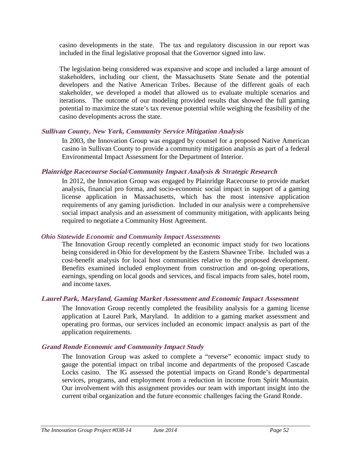casino developments in the state. The tax and regulatory discussion in our report was included in the final legislative proposal that the Governor signed into law.

The legislation being considered was expansive and scope and included a large amount of stakeholders, including our client, the Massachusetts State Senate and the potential developers and the Native American Tribes. Because of the different goals of each stakeholder, we developed a model that allowed us to evaluate multiple scenarios and iterations. The outcome of our modeling provided results that showed the full gaming potential to maximize the state's tax revenue potential while weighing the feasibility of the casino developments across the state.

#### **Sullivan County, New York, Community Service Mitigation Analysis**

In 2003, the Innovation Group was engaged by counsel for a proposed Native American casino in Sullivan County to provide a community mitigation analysis as part of a federal Environmental Impact Assessment for the Department of Interior.

#### **Plainridge Racecourse Social/Community Impact Analysis & Strategic Research**

In 2012, the Innovation Group was engaged by Plainridge Racecourse to provide market analysis, financial pro forma, and socio-economic social impact in support of a gaming license application in Massachusetts, which has the most intensive application requirements of any gaming jurisdiction. Included in our analysis were a comprehensive social impact analysis and an assessment of community mitigation, with applicants being required to negotiate a Community Host Agreement.

#### *Ohio Statewide Economic and Community Impact Assessments*

The Innovation Group recently completed an economic impact study for two locations being considered in Ohio for development by the Eastern Shawnee Tribe. Included was a cost-benefit analysis for local host communities relative to the proposed development. Benefits examined included employment from construction and on-going operations, earnings, spending on local goods and services, and fiscal impacts from sales, hotel room, and income taxes.

#### **Laurel Park, Maryland, Gaming Market Assessment and Economic Impact Assessment**

The Innovation Group recently completed the feasibility analysis for a gaming license application at Laurel Park, Maryland. In addition to a gaming market assessment and operating pro formas, our services included an economic impact analysis as part of the application requirements.

#### **Grand Ronde Economic and Community Impact Study**

The Innovation Group was asked to complete a "reverse" economic impact study to gauge the potential impact on tribal income and departments of the proposed Cascade Locks casino. The IG assessed the potential impacts on Grand Ronde's departmental services, programs, and employment from a reduction in income from Spirit Mountain. Our involvement with this assignment provides our team with important insight into the current tribal organization and the future economic challenges facing the Grand Ronde.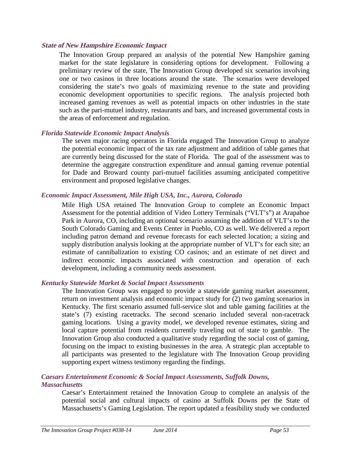#### **State of New Hampshire Economic Impact**

The Innovation Group prepared an analysis of the potential New Hampshire gaming market for the state legislature in considering options for development. Following a preliminary review of the state, The Innovation Group developed six scenarios involving one or two casinos in three locations around the state. The scenarios were developed considering the state's two goals of maximizing revenue to the state and providing economic development opportunities to specific regions. The analysis projected both increased gaming revenues as well as potential impacts on other industries in the state such as the pari-mutuel industry, restaurants and bars, and increased governmental costs in the areas of enforcement and regulation.

#### *Florida Statewide Economic Impact Analysis*

The seven major racing operators in Florida engaged The Innovation Group to analyze the potential economic impact of the tax rate adjustment and addition of table games that are currently being discussed for the state of Florida. The goal of the assessment was to determine the aggregate construction expenditure and annual gaming revenue potential for Dade and Broward county pari-mutuel facilities assuming anticipated competitive environment and proposed legislative changes.

#### *Economic Impact Assessment, Mile High USA, Inc., Aurora, Colorado*

Mile High USA retained The Innovation Group to complete an Economic Impact Assessment for the potential addition of Video Lottery Terminals ("VLT's") at Arapahoe Park in Aurora, CO, including an optional scenario assuming the addition of VLT's to the South Colorado Gaming and Events Center in Pueblo, CO as well. We delivered a report including patron demand and revenue forecasts for each selected location; a sizing and supply distribution analysis looking at the appropriate number of VLT's for each site; an estimate of cannibalization to existing CO casinos; and an estimate of net direct and indirect economic impacts associated with construction and operation of each development, including a community needs assessment.

#### *Kentucky Statewide Market & Social Impact Assessments*

The Innovation Group was engaged to provide a statewide gaming market assessment, return on investment analysis and economic impact study for (2) two gaming scenarios in Kentucky. The first scenario assumed full-service slot and table gaming facilities at the state's (7) existing racetracks. The second scenario included several non-racetrack gaming locations. Using a gravity model, we developed revenue estimates, sizing and local capture potential from residents currently traveling out of state to gamble. The Innovation Group also conducted a qualitative study regarding the social cost of gaming, focusing on the impact to existing businesses in the area. A strategic plan acceptable to all participants was presented to the legislature with The Innovation Group providing supporting expert witness testimony regarding the findings.

#### *Caesars Entertainment Economic & Social Impact Assessments, Suffolk Downs, Massachusetts*

Caesar's Entertainment retained the Innovation Group to complete an analysis of the potential social and cultural impacts of casino at Suffolk Downs per the State of Massachusetts's Gaming Legislation. The report updated a feasibility study we conducted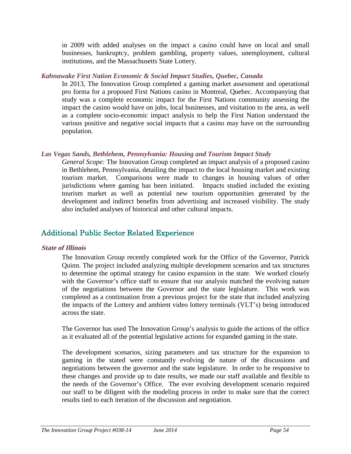in 2009 with added analyses on the impact a casino could have on local and small businesses, bankruptcy, problem gambling, property values, unemployment, cultural institutions, and the Massachusetts State Lottery.

#### *Kahnawake First Nation Economic & Social Impact Studies, Quebec, Canada*

In 2013, The Innovation Group completed a gaming market assessment and operational pro forma for a proposed First Nations casino in Montreal, Quebec. Accompanying that study was a complete economic impact for the First Nations community assessing the impact the casino would have on jobs, local businesses, and visitation to the area, as well as a complete socio-economic impact analysis to help the First Nation understand the various positive and negative social impacts that a casino may have on the surrounding population.

### *Las Vegas Sands, Bethlehem, Pennsylvania: Housing and Tourism Impact Study*

*General Scope:* The Innovation Group completed an impact analysis of a proposed casino in Bethlehem, Pennsylvania, detailing the impact to the local housing market and existing tourism market. Comparisons were made to changes in housing values of other jurisdictions where gaming has been initiated. Impacts studied included the existing tourism market as well as potential new tourism opportunities generated by the development and indirect benefits from advertising and increased visibility. The study also included analyses of historical and other cultural impacts.

# Additional Public Sector Related Experience

#### **State of Illinois**

The Innovation Group recently completed work for the Office of the Governor, Patrick Quinn. The project included analyzing multiple development scenarios and tax structures to determine the optimal strategy for casino expansion in the state. We worked closely with the Governor's office staff to ensure that our analysis matched the evolving nature of the negotiations between the Governor and the state legislature. This work was completed as a continuation from a previous project for the state that included analyzing the impacts of the Lottery and ambient video lottery terminals (VLT's) being introduced across the state.

The Governor has used The Innovation Group's analysis to guide the actions of the office as it evaluated all of the potential legislative actions for expanded gaming in the state.

The development scenarios, sizing parameters and tax structure for the expansion to gaming in the stated were constantly evolving de nature of the discussions and negotiations between the governor and the state legislature. In order to be responsive to these changes and provide up to date results, we made our staff available and flexible to the needs of the Governor's Office. The ever evolving development scenario required our staff to be diligent with the modeling process in order to make sure that the correct results tied to each iteration of the discussion and negotiation.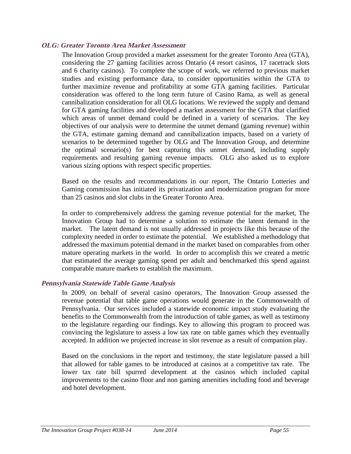#### **OLG: Greater Toronto Area Market Assessment**

The Innovation Group provided a market assessment for the greater Toronto Area (GTA), considering the 27 gaming facilities across Ontario (4 resort casinos, 17 racetrack slots and 6 charity casinos). To complete the scope of work, we referred to previous market studies and existing performance data, to consider opportunities within the GTA to further maximize revenue and profitability at some GTA gaming facilities. Particular consideration was offered to the long term future of Casino Rama, as well as general cannibalization consideration for all OLG locations. We reviewed the supply and demand for GTA gaming facilities and developed a market assessment for the GTA that clarified which areas of unmet demand could be defined in a variety of scenarios. The key objectives of our analysis were to determine the unmet demand (gaming revenue) within the GTA, estimate gaming demand and cannibalization impacts, based on a variety of scenarios to be determined together by OLG and The Innovation Group, and determine the optimal scenario(s) for best capturing this unmet demand, including supply requirements and resulting gaming revenue impacts. OLG also asked us to explore various sizing options with respect specific properties.

Based on the results and recommendations in our report, The Ontario Lotteries and Gaming commission has initiated its privatization and modernization program for more than 25 casinos and slot clubs in the Greater Toronto Area.

In order to comprehensively address the gaming revenue potential for the market, The Innovation Group had to determine a solution to estimate the latent demand in the market. The latent demand is not usually addressed in projects like this because of the complexity needed in order to estimate the potential. We established a methodology that addressed the maximum potential demand in the market based on comparables from other mature operating markets in the world. In order to accomplish this we created a metric that estimated the average gaming spend per adult and benchmarked this spend against comparable mature markets to establish the maximum.

#### **Pennsylvania Statewide Table Game Analysis**

In 2009, on behalf of several casino operators, The Innovation Group assessed the revenue potential that table game operations would generate in the Commonwealth of Pennsylvania. Our services included a statewide economic impact study evaluating the benefits to the Commonwealth from the introduction of table games, as well as testimony to the legislature regarding our findings. Key to allowing this program to proceed was convincing the legislature to assess a low tax rate on table games which they eventually accepted. In addition we projected increase in slot revenue as a result of companion play.

Based on the conclusions in the report and testimony, the state legislature passed a bill that allowed for table games to be introduced at casinos at a competitive tax rate. The lower tax rate bill spurred development at the casinos which included capital improvements to the casino floor and non gaming amenities including food and beverage and hotel development.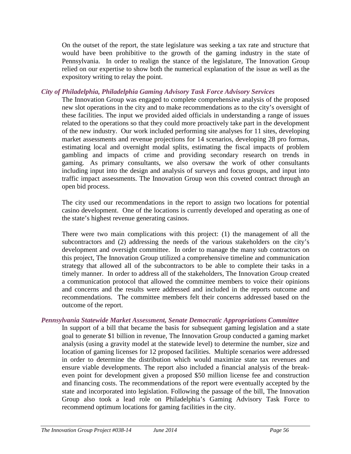On the outset of the report, the state legislature was seeking a tax rate and structure that would have been prohibitive to the growth of the gaming industry in the state of Pennsylvania. In order to realign the stance of the legislature, The Innovation Group relied on our expertise to show both the numerical explanation of the issue as well as the expository writing to relay the point.

#### *City of Philadelphia, Philadelphia Gaming Advisory Task Force Advisory Services*

The Innovation Group was engaged to complete comprehensive analysis of the proposed new slot operations in the city and to make recommendations as to the city's oversight of these facilities. The input we provided aided officials in understanding a range of issues related to the operations so that they could more proactively take part in the development of the new industry. Our work included performing site analyses for 11 sites, developing market assessments and revenue projections for 14 scenarios, developing 28 pro formas, estimating local and overnight modal splits, estimating the fiscal impacts of problem gambling and impacts of crime and providing secondary research on trends in gaming. As primary consultants, we also oversaw the work of other consultants including input into the design and analysis of surveys and focus groups, and input into traffic impact assessments. The Innovation Group won this coveted contract through an open bid process.

The city used our recommendations in the report to assign two locations for potential casino development. One of the locations is currently developed and operating as one of the state's highest revenue generating casinos.

There were two main complications with this project: (1) the management of all the subcontractors and (2) addressing the needs of the various stakeholders on the city's development and oversight committee. In order to manage the many sub contractors on this project, The Innovation Group utilized a comprehensive timeline and communication strategy that allowed all of the subcontractors to be able to complete their tasks in a timely manner. In order to address all of the stakeholders, The Innovation Group created a communication protocol that allowed the committee members to voice their opinions and concerns and the results were addressed and included in the reports outcome and recommendations. The committee members felt their concerns addressed based on the outcome of the report.

#### *Pennsylvania Statewide Market Assessment, Senate Democratic Appropriations Committee*

In support of a bill that became the basis for subsequent gaming legislation and a state goal to generate \$1 billion in revenue, The Innovation Group conducted a gaming market analysis (using a gravity model at the statewide level) to determine the number, size and location of gaming licenses for 12 proposed facilities. Multiple scenarios were addressed in order to determine the distribution which would maximize state tax revenues and ensure viable developments. The report also included a financial analysis of the breakeven point for development given a proposed \$50 million license fee and construction and financing costs. The recommendations of the report were eventually accepted by the state and incorporated into legislation. Following the passage of the bill, The Innovation Group also took a lead role on Philadelphia's Gaming Advisory Task Force to recommend optimum locations for gaming facilities in the city.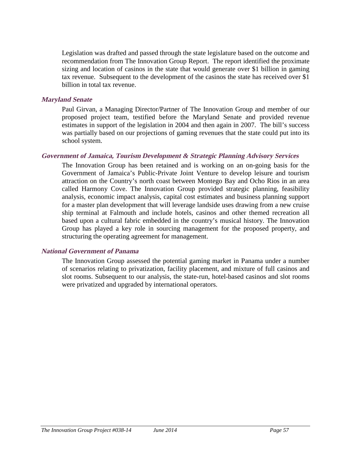Legislation was drafted and passed through the state legislature based on the outcome and recommendation from The Innovation Group Report. The report identified the proximate sizing and location of casinos in the state that would generate over \$1 billion in gaming tax revenue. Subsequent to the development of the casinos the state has received over \$1 billion in total tax revenue.

#### **Maryland Senate**

Paul Girvan, a Managing Director/Partner of The Innovation Group and member of our proposed project team, testified before the Maryland Senate and provided revenue estimates in support of the legislation in 2004 and then again in 2007. The bill's success was partially based on our projections of gaming revenues that the state could put into its school system.

#### **Government of Jamaica, Tourism Development & Strategic Planning Advisory Services**

The Innovation Group has been retained and is working on an on-going basis for the Government of Jamaica's Public-Private Joint Venture to develop leisure and tourism attraction on the Country's north coast between Montego Bay and Ocho Rios in an area called Harmony Cove. The Innovation Group provided strategic planning, feasibility analysis, economic impact analysis, capital cost estimates and business planning support for a master plan development that will leverage landside uses drawing from a new cruise ship terminal at Falmouth and include hotels, casinos and other themed recreation all based upon a cultural fabric embedded in the country's musical history. The Innovation Group has played a key role in sourcing management for the proposed property, and structuring the operating agreement for management.

#### **National Government of Panama**

The Innovation Group assessed the potential gaming market in Panama under a number of scenarios relating to privatization, facility placement, and mixture of full casinos and slot rooms. Subsequent to our analysis, the state-run, hotel-based casinos and slot rooms were privatized and upgraded by international operators.